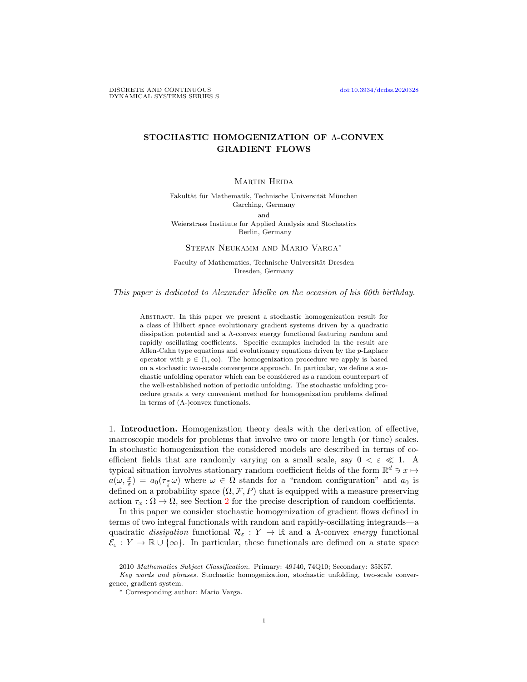## STOCHASTIC HOMOGENIZATION OF Λ-CONVEX GRADIENT FLOWS

## MARTIN HEIDA

Fakultät für Mathematik, Technische Universität München Garching, Germany and Weierstrass Institute for Applied Analysis and Stochastics

Berlin, Germany

Stefan Neukamm and Mario Varga<sup>∗</sup>

Faculty of Mathematics, Technische Universität Dresden Dresden, Germany

This paper is dedicated to Alexander Mielke on the occasion of his 60th birthday.

Abstract. In this paper we present a stochastic homogenization result for a class of Hilbert space evolutionary gradient systems driven by a quadratic dissipation potential and a Λ-convex energy functional featuring random and rapidly oscillating coefficients. Specific examples included in the result are Allen-Cahn type equations and evolutionary equations driven by the p-Laplace operator with  $p \in (1,\infty)$ . The homogenization procedure we apply is based on a stochastic two-scale convergence approach. In particular, we define a stochastic unfolding operator which can be considered as a random counterpart of the well-established notion of periodic unfolding. The stochastic unfolding procedure grants a very convenient method for homogenization problems defined in terms of  $(Λ-)$ convex functionals.

1. Introduction. Homogenization theory deals with the derivation of effective, macroscopic models for problems that involve two or more length (or time) scales. In stochastic homogenization the considered models are described in terms of coefficient fields that are randomly varying on a small scale, say  $0 < \varepsilon \ll 1$ . A typical situation involves stationary random coefficient fields of the form  $\mathbb{R}^d \ni x \mapsto$  $a(\omega, \frac{x}{\varepsilon}) = a_0(\tau_{\frac{x}{\varepsilon}}\omega)$  where  $\omega \in \Omega$  stands for a "random configuration" and  $a_0$  is defined on a probability space  $(\Omega, \mathcal{F}, P)$  that is equipped with a measure preserving action  $\tau_x : \Omega \to \Omega$ , see Section [2](#page-4-0) for the precise description of random coefficients.

In this paper we consider stochastic homogenization of gradient flows defined in terms of two integral functionals with random and rapidly-oscillating integrands—a quadratic dissipation functional  $\mathcal{R}_{\varepsilon}: Y \to \mathbb{R}$  and a  $\Lambda$ -convex energy functional  $\mathcal{E}_{\varepsilon}: Y \to \mathbb{R} \cup {\infty}$ . In particular, these functionals are defined on a state space

<sup>2010</sup> Mathematics Subject Classification. Primary: 49J40, 74Q10; Secondary: 35K57.

Key words and phrases. Stochastic homogenization, stochastic unfolding, two-scale convergence, gradient system.

<sup>∗</sup> Corresponding author: Mario Varga.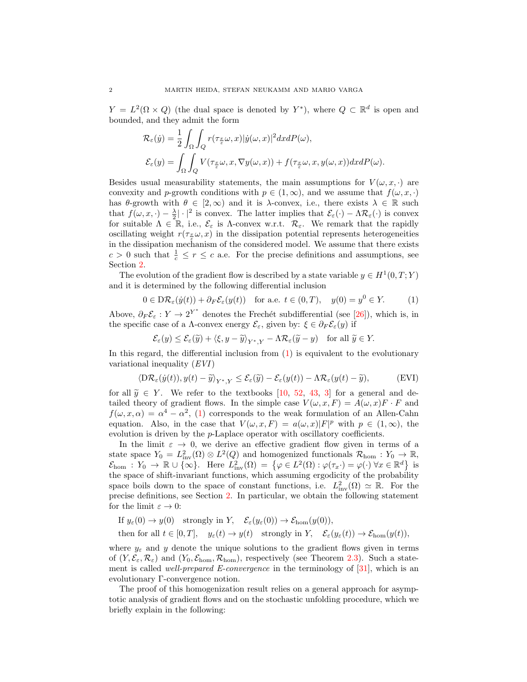$Y = L^2(\Omega \times Q)$  (the dual space is denoted by Y<sup>\*</sup>), where  $Q \subset \mathbb{R}^d$  is open and bounded, and they admit the form

$$
\mathcal{R}_{\varepsilon}(y) = \frac{1}{2} \int_{\Omega} \int_{Q} r(\tau_{\frac{x}{\varepsilon}} \omega, x) |\dot{y}(\omega, x)|^2 dx dP(\omega),
$$
  

$$
\mathcal{E}_{\varepsilon}(y) = \int_{\Omega} \int_{Q} V(\tau_{\frac{x}{\varepsilon}} \omega, x, \nabla y(\omega, x)) + f(\tau_{\frac{x}{\varepsilon}} \omega, x, y(\omega, x)) dx dP(\omega).
$$

Besides usual measurability statements, the main assumptions for  $V(\omega, x, \cdot)$  are convexity and p-growth conditions with  $p \in (1,\infty)$ , and we assume that  $f(\omega, x, \cdot)$ has  $\theta$ -growth with  $\theta \in [2,\infty)$  and it is  $\lambda$ -convex, i.e., there exists  $\lambda \in \mathbb{R}$  such that  $f(\omega, x, \cdot) - \frac{\lambda}{2} |\cdot|^2$  is convex. The latter implies that  $\mathcal{E}_{\varepsilon}(\cdot) - \Lambda \mathcal{R}_{\varepsilon}(\cdot)$  is convex for suitable  $\Lambda \in \mathbb{R}$ , i.e.,  $\mathcal{E}_{\varepsilon}$  is  $\Lambda$ -convex w.r.t.  $\mathcal{R}_{\varepsilon}$ . We remark that the rapidly oscillating weight  $r(\tau_{\frac{x}{\epsilon}}\omega, x)$  in the dissipation potential represents heterogeneities in the dissipation mechanism of the considered model. We assume that there exists  $c > 0$  such that  $\frac{1}{c} \leq r \leq c$  a.e. For the precise definitions and assumptions, see Section [2.](#page-4-0)

The evolution of the gradient flow is described by a state variable  $y \in H^1(0,T;Y)$ and it is determined by the following differential inclusion

<span id="page-1-0"></span>
$$
0 \in D\mathcal{R}_{\varepsilon}(y(t)) + \partial_F \mathcal{E}_{\varepsilon}(y(t)) \quad \text{for a.e. } t \in (0, T), \quad y(0) = y^0 \in Y. \tag{1}
$$

Above,  $\partial_F \mathcal{E}_{\varepsilon}: Y \to 2^{Y^*}$  denotes the Frechét subdifferential (see [\[26\]](#page-24-0)), which is, in the specific case of a Λ-convex energy  $\mathcal{E}_{\varepsilon}$ , given by:  $\xi \in \partial_F \mathcal{E}_{\varepsilon}(y)$  if

<span id="page-1-1"></span>
$$
\mathcal{E}_{\varepsilon}(y) \le \mathcal{E}_{\varepsilon}(\widetilde{y}) + \langle \xi, y - \widetilde{y} \rangle_{Y^*,Y} - \Lambda \mathcal{R}_{\varepsilon}(\widetilde{y} - y) \quad \text{for all } \widetilde{y} \in Y.
$$

In this regard, the differential inclusion from  $(1)$  is equivalent to the evolutionary variational inequality (EVI)

<span id="page-1-2"></span>
$$
\langle \mathcal{D}\mathcal{R}_{\varepsilon}(\dot{y}(t)), y(t) - \tilde{y} \rangle_{Y^*,Y} \leq \mathcal{E}_{\varepsilon}(\tilde{y}) - \mathcal{E}_{\varepsilon}(y(t)) - \Lambda \mathcal{R}_{\varepsilon}(y(t) - \tilde{y}), \tag{EVI}
$$

for all  $\tilde{y} \in Y$ . We refer to the textbooks [\[10,](#page-24-1) [52,](#page-25-0) [43,](#page-25-1) [3\]](#page-24-2) for a general and detailed theory of gradient flows. In the simple case  $V(\omega, x, F) = A(\omega, x)F \cdot F$  and  $f(\omega, x, \alpha) = \alpha^4 - \alpha^2$ , [\(1\)](#page-1-0) corresponds to the weak formulation of an Allen-Cahn equation. Also, in the case that  $V(\omega, x, F) = a(\omega, x)|F|^p$  with  $p \in (1, \infty)$ , the evolution is driven by the p-Laplace operator with oscillatory coefficients.

In the limit  $\varepsilon \to 0$ , we derive an effective gradient flow given in terms of a state space  $Y_0 = L^2_{\text{inv}}(\Omega) \otimes L^2(Q)$  and homogenized functionals  $\mathcal{R}_{\text{hom}} : Y_0 \to \mathbb{R}$ ,  $\mathcal{E}_{\text{hom}} : Y_0 \to \mathbb{R} \cup \{ \infty \}.$  Here  $L^2_{\text{inv}}(\Omega) = \{ \varphi \in L^2(\Omega) : \varphi(\tau_x \cdot) = \varphi(\cdot) \ \forall x \in \mathbb{R}^d \}$  is the space of shift-invariant functions, which assuming ergodicity of the probability space boils down to the space of constant functions, i.e.  $L^2_{\text{inv}}(\Omega) \simeq \mathbb{R}$ . For the precise definitions, see Section [2.](#page-4-0) In particular, we obtain the following statement for the limit  $\varepsilon \to 0$ :

If  $y_\varepsilon(0) \to y(0)$  strongly in Y,  $\mathcal{E}_\varepsilon(y_\varepsilon(0)) \to \mathcal{E}_{\text{hom}}(y(0)),$ 

then for all  $t \in [0, T]$ ,  $y_{\varepsilon}(t) \to y(t)$  strongly in Y,  $\mathcal{E}_{\varepsilon}(y_{\varepsilon}(t)) \to \mathcal{E}_{\text{hom}}(y(t)),$ 

where  $y_{\varepsilon}$  and y denote the unique solutions to the gradient flows given in terms of  $(Y, \mathcal{E}_{\varepsilon}, \mathcal{R}_{\varepsilon})$  and  $(Y_0, \mathcal{E}_{\text{hom}}, \mathcal{R}_{\text{hom}})$ , respectively (see Theorem [2.3\)](#page-7-0). Such a statement is called *well-prepared E-convergence* in the terminology of  $[31]$ , which is an evolutionary Γ-convergence notion.

The proof of this homogenization result relies on a general approach for asymptotic analysis of gradient flows and on the stochastic unfolding procedure, which we briefly explain in the following: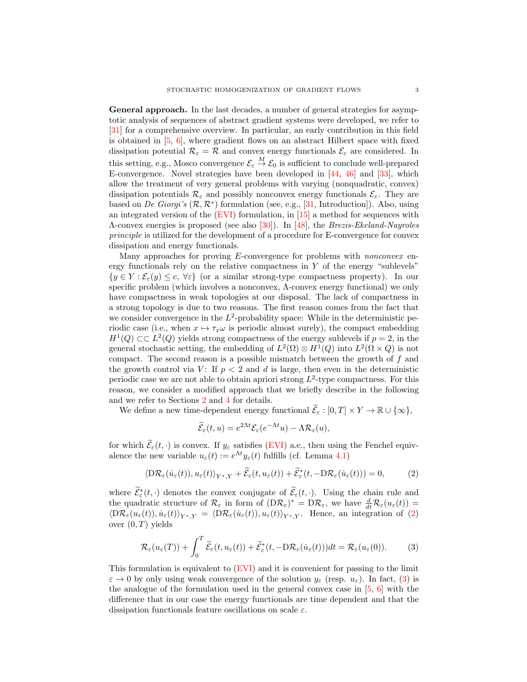General approach. In the last decades, a number of general strategies for asymptotic analysis of sequences of abstract gradient systems were developed, we refer to [\[31\]](#page-25-2) for a comprehensive overview. In particular, an early contribution in this field is obtained in  $[5, 6]$  $[5, 6]$ , where gradient flows on an abstract Hilbert space with fixed dissipation potential  $\mathcal{R}_{\varepsilon} = \mathcal{R}$  and convex energy functionals  $\mathcal{E}_{\varepsilon}$  are considered. In this setting, e.g., Mosco convergence  $\mathcal{E}_{\varepsilon} \stackrel{M}{\to} \mathcal{E}_0$  is sufficient to conclude well-prepared E-convergence. Novel strategies have been developed in [\[44,](#page-25-3) [46\]](#page-25-4) and [\[33\]](#page-25-5), which allow the treatment of very general problems with varying (nonquadratic, convex) dissipation potentials  $\mathcal{R}_{\varepsilon}$  and possibly nonconvex energy functionals  $\mathcal{E}_{\varepsilon}$ . They are based on De Giorgi's  $(\mathcal{R}, \mathcal{R}^*)$  formulation (see, e.g., [\[31,](#page-25-2) Introduction]). Also, using an integrated version of the [\(EVI\)](#page-1-1) formulation, in [\[15\]](#page-24-5) a method for sequences with Λ-convex energies is proposed (see also [\[30\]](#page-25-6)). In [\[48\]](#page-25-7), the Brezis-Ekeland-Nayroles principle is utilized for the development of a procedure for E-convergence for convex dissipation and energy functionals.

Many approaches for proving *E*-convergence for problems with *nonconvex* energy functionals rely on the relative compactness in  $Y$  of the energy "sublevels"  $\{y \in Y : \mathcal{E}_{\varepsilon}(y) \leq c, \forall \varepsilon\}$  (or a similar strong-type compactness property). In our specific problem (which involves a nonconvex, Λ-convex energy functional) we only have compactness in weak topologies at our disposal. The lack of compactness in a strong topology is due to two reasons. The first reason comes from the fact that we consider convergence in the  $L^2$ -probability space: While in the deterministic periodic case (i.e., when  $x \mapsto \tau_x \omega$  is periodic almost surely), the compact embedding  $H^1(Q) \subset L^2(Q)$  yields strong compactness of the energy sublevels if  $p = 2$ , in the general stochastic setting, the embedding of  $L^2(\Omega) \otimes H^1(Q)$  into  $L^2(\Omega \times Q)$  is not compact. The second reason is a possible mismatch between the growth of f and the growth control via V: If  $p < 2$  and d is large, then even in the deterministic periodic case we are not able to obtain apriori strong  $L^2$ -type compactness. For this reason, we consider a modified approach that we briefly describe in the following and we refer to Sections [2](#page-4-0) and [4](#page-15-0) for details.

We define a new time-dependent energy functional  $\widetilde{\mathcal{E}}_{\varepsilon} : [0, T] \times Y \to \mathbb{R} \cup \{\infty\},\$ 

$$
\widetilde{\mathcal{E}}_{\varepsilon}(t,u) = e^{2\Lambda t} \mathcal{E}_{\varepsilon}(e^{-\Lambda t}u) - \Lambda \mathcal{R}_{\varepsilon}(u),
$$

for which  $\widetilde{\mathcal{E}}_{\varepsilon}(t, \cdot)$  is convex. If  $y_{\varepsilon}$  satisfies [\(EVI\)](#page-1-1) a.e., then using the Fenchel equivalence the new variable  $u_{\varepsilon}(t) := e^{\Lambda t} y_{\varepsilon}(t)$  fulfills (cf. Lemma [4.1\)](#page-15-1)

$$
\langle \mathcal{D}\mathcal{R}_{\varepsilon}(\dot{u}_{\varepsilon}(t)), u_{\varepsilon}(t) \rangle_{Y^*,Y} + \widetilde{\mathcal{E}}_{\varepsilon}(t, u_{\varepsilon}(t)) + \widetilde{\mathcal{E}}_{\varepsilon}^*(t, -\mathcal{D}\mathcal{R}_{\varepsilon}(\dot{u}_{\varepsilon}(t))) = 0, \tag{2}
$$

where  $\widetilde{\mathcal{E}}_{\varepsilon}^*(t, \cdot)$  denotes the convex conjugate of  $\widetilde{\mathcal{E}}_{\varepsilon}(t, \cdot)$ . Using the chain rule and where  $\mathcal{E}_{\varepsilon}(t, \cdot)$  denotes the convex conjugate of  $\mathcal{E}_{\varepsilon}(t, \cdot)$ . Using the chain rule and the quadratic structure of  $\mathcal{R}_{\varepsilon}$  in form of  $(D\mathcal{R}_{\varepsilon})^* = D\mathcal{R}_{\varepsilon}$ , we have  $\frac{d}{dt}\mathcal{R}_{\varepsilon}(u_{\varepsilon}(t)) =$  $\langle D\mathcal{R}_{\varepsilon}(u_{\varepsilon}(t)), \dot{u}_{\varepsilon}(t)\rangle_{Y^*,Y} = \langle D\mathcal{R}_{\varepsilon}(\dot{u}_{\varepsilon}(t)), u_{\varepsilon}(t)\rangle_{Y^*,Y}$ . Hence, an integration of [\(2\)](#page-1-2) over  $(0, T)$  yields

<span id="page-2-0"></span>
$$
\mathcal{R}_{\varepsilon}(u_{\varepsilon}(T)) + \int_{0}^{T} \widetilde{\mathcal{E}}_{\varepsilon}(t, u_{\varepsilon}(t)) + \widetilde{\mathcal{E}}_{\varepsilon}^{*}(t, -D\mathcal{R}_{\varepsilon}(\dot{u}_{\varepsilon}(t)))dt = \mathcal{R}_{\varepsilon}(u_{\varepsilon}(0)).
$$
 (3)

This formulation is equivalent to [\(EVI\)](#page-1-1) and it is convenient for passing to the limit  $\varepsilon \to 0$  by only using weak convergence of the solution  $y_{\varepsilon}$  (resp.  $u_{\varepsilon}$ ). In fact, [\(3\)](#page-2-0) is the analogue of the formulation used in the general convex case in  $[5, 6]$  $[5, 6]$  with the difference that in our case the energy functionals are time dependent and that the dissipation functionals feature oscillations on scale  $\varepsilon$ .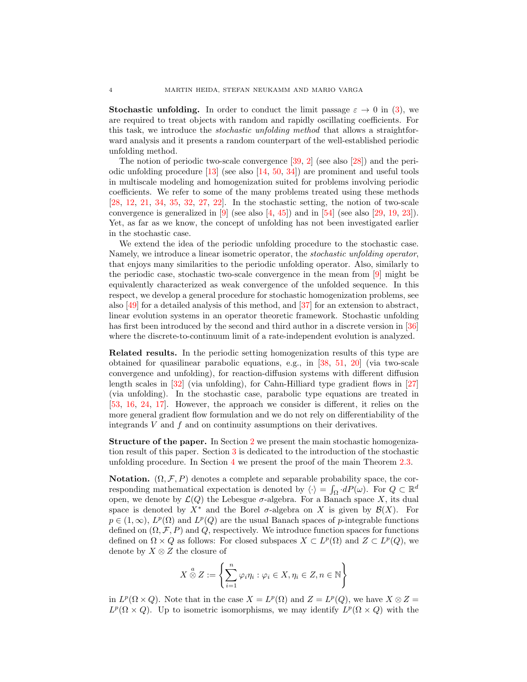**Stochastic unfolding.** In order to conduct the limit passage  $\varepsilon \to 0$  in [\(3\)](#page-2-0), we are required to treat objects with random and rapidly oscillating coefficients. For this task, we introduce the stochastic unfolding method that allows a straightforward analysis and it presents a random counterpart of the well-established periodic unfolding method.

The notion of periodic two-scale convergence [\[39,](#page-25-8) [2\]](#page-24-6) (see also [\[28\]](#page-24-7)) and the periodic unfolding procedure  $[13]$  (see also  $[14, 50, 34]$  $[14, 50, 34]$  $[14, 50, 34]$  $[14, 50, 34]$ ) are prominent and useful tools in multiscale modeling and homogenization suited for problems involving periodic coefficients. We refer to some of the many problems treated using these methods [\[28,](#page-24-7) [12,](#page-24-10) [21,](#page-24-11) [34,](#page-25-10) [35,](#page-25-11) [32,](#page-25-12) [27,](#page-24-12) [22\]](#page-24-13). In the stochastic setting, the notion of two-scale convergence is generalized in  $[9]$  (see also  $[4, 45]$  $[4, 45]$ ) and in  $[54]$  (see also  $[29, 19, 23]$  $[29, 19, 23]$  $[29, 19, 23]$  $[29, 19, 23]$ ). Yet, as far as we know, the concept of unfolding has not been investigated earlier in the stochastic case.

We extend the idea of the periodic unfolding procedure to the stochastic case. Namely, we introduce a linear isometric operator, the stochastic unfolding operator, that enjoys many similarities to the periodic unfolding operator. Also, similarly to the periodic case, stochastic two-scale convergence in the mean from [\[9\]](#page-24-14) might be equivalently characterized as weak convergence of the unfolded sequence. In this respect, we develop a general procedure for stochastic homogenization problems, see also [\[49\]](#page-25-15) for a detailed analysis of this method, and [\[37\]](#page-25-16) for an extension to abstract, linear evolution systems in an operator theoretic framework. Stochastic unfolding has first been introduced by the second and third author in a discrete version in [\[36\]](#page-25-17) where the discrete-to-continuum limit of a rate-independent evolution is analyzed.

Related results. In the periodic setting homogenization results of this type are obtained for quasilinear parabolic equations, e.g., in [\[38,](#page-25-18) [51,](#page-25-19) [20\]](#page-24-18) (via two-scale convergence and unfolding), for reaction-diffusion systems with different diffusion length scales in [\[32\]](#page-25-12) (via unfolding), for Cahn-Hilliard type gradient flows in [\[27\]](#page-24-12) (via unfolding). In the stochastic case, parabolic type equations are treated in [\[53,](#page-25-20) [16,](#page-24-19) [24,](#page-24-20) [17\]](#page-24-21). However, the approach we consider is different, it relies on the more general gradient flow formulation and we do not rely on differentiability of the integrands  $V$  and  $f$  and on continuity assumptions on their derivatives.

Structure of the paper. In Section [2](#page-4-0) we present the main stochastic homogenization result of this paper. Section [3](#page-8-0) is dedicated to the introduction of the stochastic unfolding procedure. In Section [4](#page-15-0) we present the proof of the main Theorem [2.3.](#page-7-0)

**Notation.**  $(\Omega, \mathcal{F}, P)$  denotes a complete and separable probability space, the corresponding mathematical expectation is denoted by  $\langle \cdot \rangle = \int_{\Omega} dP(\omega)$ . For  $Q \subset \mathbb{R}^d$ open, we denote by  $\mathcal{L}(Q)$  the Lebesgue  $\sigma$ -algebra. For a Banach space X, its dual space is denoted by  $X^*$  and the Borel  $\sigma$ -algebra on X is given by  $\mathcal{B}(X)$ . For  $p \in (1,\infty)$ ,  $L^p(\Omega)$  and  $L^p(Q)$  are the usual Banach spaces of p-integrable functions defined on  $(\Omega, \mathcal{F}, P)$  and Q, respectively. We introduce function spaces for functions defined on  $\Omega \times Q$  as follows: For closed subspaces  $X \subset L^p(\Omega)$  and  $Z \subset L^p(Q)$ , we denote by  $X \otimes Z$  the closure of

$$
X \overset{a}{\otimes} Z := \left\{ \sum_{i=1}^{n} \varphi_i \eta_i : \varphi_i \in X, \eta_i \in Z, n \in \mathbb{N} \right\}
$$

in  $L^p(\Omega \times Q)$ . Note that in the case  $X = L^p(\Omega)$  and  $Z = L^p(Q)$ , we have  $X \otimes Z =$  $L^p(\Omega \times Q)$ . Up to isometric isomorphisms, we may identify  $L^p(\Omega \times Q)$  with the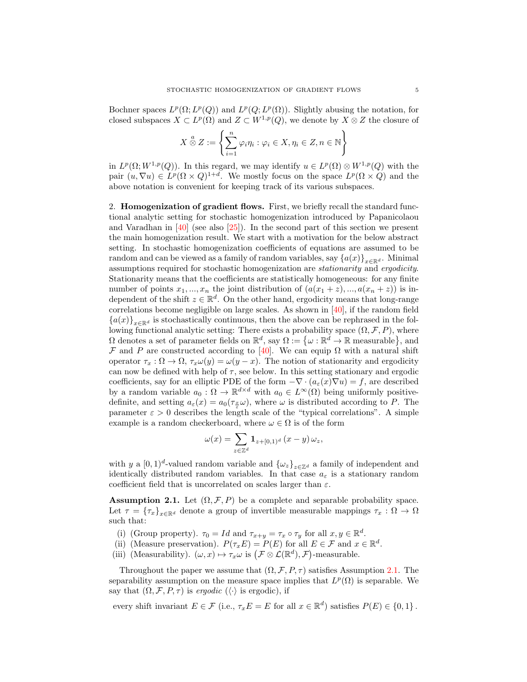Bochner spaces  $L^p(\Omega; L^p(Q))$  and  $L^p(Q; L^p(\Omega))$ . Slightly abusing the notation, for closed subspaces  $X \subset L^p(\Omega)$  and  $Z \subset W^{1,p}(Q)$ , we denote by  $X \otimes Z$  the closure of

$$
X \overset{a}{\otimes} Z := \left\{ \sum_{i=1}^{n} \varphi_i \eta_i : \varphi_i \in X, \eta_i \in Z, n \in \mathbb{N} \right\}
$$

in  $L^p(\Omega; W^{1,p}(Q))$ . In this regard, we may identify  $u \in L^p(\Omega) \otimes W^{1,p}(Q)$  with the pair  $(u, \nabla u) \in L^p(\Omega \times Q)^{1+d}$ . We mostly focus on the space  $L^p(\Omega \times Q)$  and the above notation is convenient for keeping track of its various subspaces.

<span id="page-4-0"></span>2. Homogenization of gradient flows. First, we briefly recall the standard functional analytic setting for stochastic homogenization introduced by Papanicolaou and Varadhan in [\[40\]](#page-25-21) (see also [\[25\]](#page-24-22)). In the second part of this section we present the main homogenization result. We start with a motivation for the below abstract setting. In stochastic homogenization coefficients of equations are assumed to be random and can be viewed as a family of random variables, say  $\{a(x)\}_{x\in\mathbb{R}^d}$ . Minimal assumptions required for stochastic homogenization are stationarity and ergodicity. Stationarity means that the coefficients are statistically homogeneous: for any finite number of points  $x_1, ..., x_n$  the joint distribution of  $(a(x_1 + z), ..., a(x_n + z))$  is independent of the shift  $z \in \mathbb{R}^d$ . On the other hand, ergodicity means that long-range correlations become negligible on large scales. As shown in  $[40]$ , if the random field  ${a(x)}_{x\in\mathbb{R}^d}$  is stochastically continuous, then the above can be rephrased in the following functional analytic setting: There exists a probability space  $(\Omega, \mathcal{F}, P)$ , where  $\Omega$  denotes a set of parameter fields on  $\mathbb{R}^d$ , say  $\Omega := \{ \omega : \mathbb{R}^d \to \mathbb{R}$  measurable, and F and P are constructed according to [\[40\]](#page-25-21). We can equip  $\Omega$  with a natural shift operator  $\tau_x : \Omega \to \Omega$ ,  $\tau_x \omega(y) = \omega(y-x)$ . The notion of stationarity and ergodicity can now be defined with help of  $\tau$ , see below. In this setting stationary and ergodic coefficients, say for an elliptic PDE of the form  $-\nabla \cdot (a_\varepsilon(x)\nabla u) = f$ , are described by a random variable  $a_0$ :  $\Omega \to \mathbb{R}^{d \times d}$  with  $a_0 \in L^{\infty}(\Omega)$  being uniformly positivedefinite, and setting  $a_{\varepsilon}(x) = a_0(\tau_{\frac{x}{\varepsilon}}\omega)$ , where  $\omega$  is distributed according to P. The parameter  $\varepsilon > 0$  describes the length scale of the "typical correlations". A simple example is a random checkerboard, where  $\omega \in \Omega$  is of the form

$$
\omega(x) = \sum_{z \in \mathbb{Z}^d} \mathbf{1}_{z+[0,1)^d} (x-y) \, \omega_z,
$$

with y a  $[0, 1)^d$ -valued random variable and  $\{\omega_z\}_{z \in \mathbb{Z}^d}$  a family of independent and identically distributed random variables. In that case  $a_{\varepsilon}$  is a stationary random coefficient field that is uncorrelated on scales larger than  $\varepsilon$ .

<span id="page-4-1"></span>**Assumption 2.1.** Let  $(\Omega, \mathcal{F}, P)$  be a complete and separable probability space. Let  $\tau = {\{\tau_x\}}_{x \in \mathbb{R}^d}$  denote a group of invertible measurable mappings  $\tau_x : \Omega \to \Omega$ such that:

- (i) (Group property).  $\tau_0 = Id$  and  $\tau_{x+y} = \tau_x \circ \tau_y$  for all  $x, y \in \mathbb{R}^d$ .
- (ii) (Measure preservation).  $P(\tau_x E) = P(E)$  for all  $E \in \mathcal{F}$  and  $x \in \mathbb{R}^d$ .
- (iii) (Measurability).  $(\omega, x) \mapsto \tau_x \omega$  is  $(\mathcal{F} \otimes \mathcal{L}(\mathbb{R}^d), \mathcal{F})$ -measurable.

Throughout the paper we assume that  $(\Omega, \mathcal{F}, P, \tau)$  satisfies Assumption [2.1.](#page-4-1) The separability assumption on the measure space implies that  $L^p(\Omega)$  is separable. We say that  $(\Omega, \mathcal{F}, P, \tau)$  is ergodic  $(\langle \cdot \rangle)$  is ergodic), if

every shift invariant  $E \in \mathcal{F}$  (i.e.,  $\tau_x E = E$  for all  $x \in \mathbb{R}^d$ ) satisfies  $P(E) \in \{0, 1\}$ .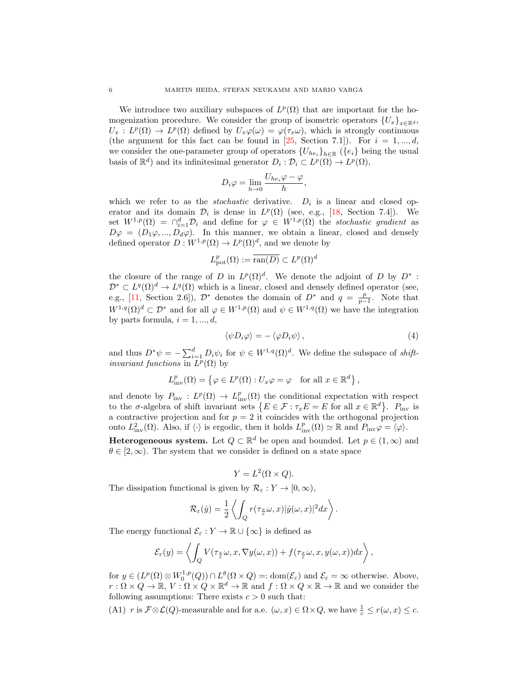We introduce two auxiliary subspaces of  $L^p(\Omega)$  that are important for the homogenization procedure. We consider the group of isometric operators  ${U_x}_{x \in \mathbb{R}^d}$ ,  $U_x: L^p(\Omega) \to L^p(\Omega)$  defined by  $U_x\varphi(\omega) = \varphi(\tau_x\omega)$ , which is strongly continuous (the argument for this fact can be found in [\[25,](#page-24-22) Section 7.1]). For  $i = 1, ..., d$ , we consider the one-parameter group of operators  ${U_{he_i}}_{h \in \mathbb{R}}$  ( ${e_i}$ ) being the usual basis of  $\mathbb{R}^d$  and its infinitesimal generator  $D_i : \mathcal{D}_i \subset L^p(\Omega) \to L^p(\Omega)$ ,

$$
D_i \varphi = \lim_{h \to 0} \frac{U_{he_i} \varphi - \varphi}{h},
$$

which we refer to as the *stochastic* derivative.  $D_i$  is a linear and closed operator and its domain  $\mathcal{D}_i$  is dense in  $L^p(\Omega)$  (see, e.g., [\[18,](#page-24-23) Section 7.4]). We set  $W^{1,p}(\Omega) = \bigcap_{i=1}^d \mathcal{D}_i$  and define for  $\varphi \in W^{1,p}(\Omega)$  the stochastic gradient as  $D\varphi = (D_1\varphi, ..., D_d\varphi)$ . In this manner, we obtain a linear, closed and densely defined operator  $D: W^{1,p}(\Omega) \to L^p(\Omega)^d$ , and we denote by

$$
L^p_{{\mathrm{pot}}}(\Omega):=\overline{{\mathrm{ran}}(D)}\subset L^p(\Omega)^d
$$

the closure of the range of D in  $L^p(\Omega)^d$ . We denote the adjoint of D by  $D^*$ :  $\mathcal{D}^* \subset L^q(\Omega)^d \to L^q(\Omega)$  which is a linear, closed and densely defined operator (see, e.g., [\[11,](#page-24-24) Section 2.6]),  $\mathcal{D}^*$  denotes the domain of  $D^*$  and  $q = \frac{p}{p-1}$ . Note that  $W^{1,q}(\Omega)^d \subset \mathcal{D}^*$  and for all  $\varphi \in W^{1,p}(\Omega)$  and  $\psi \in W^{1,q}(\Omega)$  we have the integration by parts formula,  $i = 1, ..., d$ ,

<span id="page-5-1"></span>
$$
\langle \psi D_i \varphi \rangle = - \langle \varphi D_i \psi \rangle \,, \tag{4}
$$

and thus  $D^*\psi = -\sum_{i=1}^d D_i\psi_i$  for  $\psi \in W^{1,q}(\Omega)^d$ . We define the subspace of *shiftinvariant functions* in  $L^p(\Omega)$  by

$$
L_{\text{inv}}^p(\Omega) = \left\{ \varphi \in L^p(\Omega) : U_x \varphi = \varphi \quad \text{for all } x \in \mathbb{R}^d \right\},\
$$

and denote by  $P_{\text{inv}}: L^p(\Omega) \to L^p_{\text{inv}}(\Omega)$  the conditional expectation with respect to the  $\sigma$ -algebra of shift invariant sets  $\{E \in \mathcal{F} : \tau_x E = E \text{ for all } x \in \mathbb{R}^d\}$ .  $P_{\text{inv}}$  is a contractive projection and for  $p = 2$  it coincides with the orthogonal projection onto  $L^2_{\text{inv}}(\Omega)$ . Also, if  $\langle \cdot \rangle$  is ergodic, then it holds  $L^p_{\text{inv}}(\Omega) \simeq \mathbb{R}$  and  $P_{\text{inv}}\varphi = \langle \varphi \rangle$ .

**Heterogeneous system.** Let  $Q \subset \mathbb{R}^d$  be open and bounded. Let  $p \in (1,\infty)$  and  $\theta \in [2,\infty)$ . The system that we consider is defined on a state space

$$
Y = L^2(\Omega \times Q).
$$

The dissipation functional is given by  $\mathcal{R}_{\varepsilon}: Y \to [0, \infty)$ ,

$$
\mathcal{R}_{\varepsilon}(\dot{y}) = \frac{1}{2} \left\langle \int_Q r(\tau_{\frac{x}{\varepsilon}}\omega, x) |\dot{y}(\omega, x)|^2 dx \right\rangle.
$$

The energy functional  $\mathcal{E}_{\varepsilon}: Y \to \mathbb{R} \cup \{\infty\}$  is defined as

$$
\mathcal{E}_{\varepsilon}(y) = \left\langle \int_{Q} V(\tau_{\frac{x}{\varepsilon}}\omega, x, \nabla y(\omega, x)) + f(\tau_{\frac{x}{\varepsilon}}\omega, x, y(\omega, x))dx \right\rangle,
$$

for  $y \in (L^p(\Omega) \otimes W_0^{1,p}(Q)) \cap L^{\theta}(\Omega \times Q) =: \text{dom}(\mathcal{E}_{\varepsilon})$  and  $\mathcal{E}_{\varepsilon} = \infty$  otherwise. Above,  $r: \Omega \times Q \to \mathbb{R}, V: \Omega \times Q \times \mathbb{R}^d \to \mathbb{R}$  and  $f: \Omega \times Q \times \mathbb{R} \to \mathbb{R}$  and we consider the following assumptions: There exists  $c > 0$  such that:

<span id="page-5-0"></span>(A1) r is  $\mathcal{F} \otimes \mathcal{L}(Q)$ -measurable and for a.e.  $(\omega, x) \in \Omega \times Q$ , we have  $\frac{1}{c} \leq r(\omega, x) \leq c$ .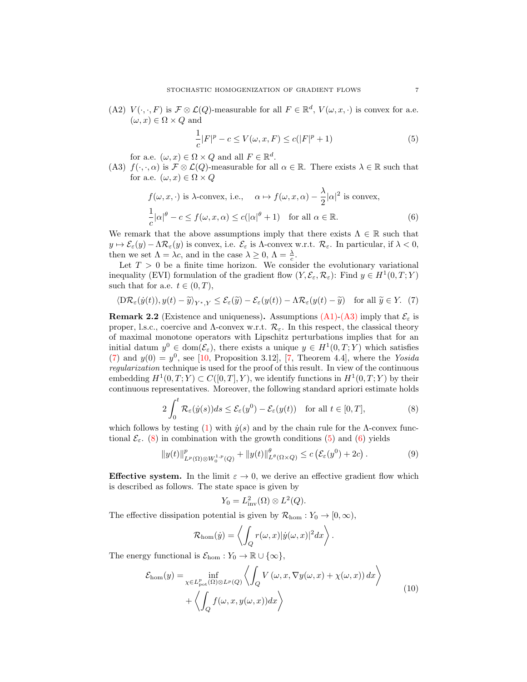(A2)  $V(\cdot, \cdot, F)$  is  $\mathcal{F} \otimes \mathcal{L}(Q)$ -measurable for all  $F \in \mathbb{R}^d$ ,  $V(\omega, x, \cdot)$  is convex for a.e.  $(\omega, x) \in \Omega \times Q$  and

<span id="page-6-4"></span><span id="page-6-3"></span>
$$
\frac{1}{c}|F|^{p} - c \le V(\omega, x, F) \le c(|F|^{p} + 1)
$$
\n(5)

for a.e.  $(\omega, x) \in \Omega \times Q$  and all  $F \in \mathbb{R}^d$ .

<span id="page-6-0"></span>(A3)  $f(\cdot,\cdot,\alpha)$  is  $\mathcal{F} \otimes \mathcal{L}(Q)$ -measurable for all  $\alpha \in \mathbb{R}$ . There exists  $\lambda \in \mathbb{R}$  such that for a.e.  $(\omega, x) \in \Omega \times Q$ 

$$
f(\omega, x, \cdot) \text{ is } \lambda\text{-convex, i.e., } \alpha \mapsto f(\omega, x, \alpha) - \frac{\lambda}{2} |\alpha|^2 \text{ is convex,}
$$
  

$$
\frac{1}{c} |\alpha|^{\theta} - c \le f(\omega, x, \alpha) \le c(|\alpha|^{\theta} + 1) \text{ for all } \alpha \in \mathbb{R}.
$$
 (6)

We remark that the above assumptions imply that there exists  $\Lambda \in \mathbb{R}$  such that  $y \mapsto \mathcal{E}_{\varepsilon}(y) - \Lambda \mathcal{R}_{\varepsilon}(y)$  is convex, i.e.  $\mathcal{E}_{\varepsilon}$  is  $\Lambda$ -convex w.r.t.  $\mathcal{R}_{\varepsilon}$ . In particular, if  $\lambda < 0$ , then we set  $\Lambda = \lambda c$ , and in the case  $\lambda \geq 0$ ,  $\Lambda = \frac{\lambda}{c}$ .

Let  $T > 0$  be a finite time horizon. We consider the evolutionary variational inequality (EVI) formulation of the gradient flow  $(Y, \mathcal{E}_{\varepsilon}, \mathcal{R}_{\varepsilon})$ : Find  $y \in H^1(0, T; Y)$ such that for a.e.  $t \in (0, T)$ ,

<span id="page-6-1"></span>
$$
\langle \mathcal{D}\mathcal{R}_{\varepsilon}(\dot{y}(t)), y(t) - \widetilde{y}\rangle_{Y^*,Y} \le \mathcal{E}_{\varepsilon}(\widetilde{y}) - \mathcal{E}_{\varepsilon}(y(t)) - \Lambda \mathcal{R}_{\varepsilon}(y(t) - \widetilde{y}) \quad \text{for all } \widetilde{y} \in Y. \tag{7}
$$

<span id="page-6-5"></span>**Remark 2.2** (Existence and uniqueness). Assumptions [\(A1\)-](#page-5-0)[\(A3\)](#page-6-0) imply that  $\mathcal{E}_{\varepsilon}$  is proper, l.s.c., coercive and  $\Lambda$ -convex w.r.t.  $\mathcal{R}_{\varepsilon}$ . In this respect, the classical theory of maximal monotone operators with Lipschitz perturbations implies that for an initial datum  $y^0 \in \text{dom}(\mathcal{E}_{\varepsilon})$ , there exists a unique  $y \in H^1(0,T;Y)$  which satisfies [\(7\)](#page-6-1) and  $y(0) = y^0$ , see [\[10,](#page-24-1) Proposition 3.12], [\[7,](#page-24-25) Theorem 4.4], where the Yosida regularization technique is used for the proof of this result. In view of the continuous embedding  $H^1(0,T;Y) \subset C([0,T],Y)$ , we identify functions in  $H^1(0,T;Y)$  by their continuous representatives. Moreover, the following standard apriori estimate holds

<span id="page-6-2"></span>
$$
2\int_0^t \mathcal{R}_{\varepsilon}(y(s))ds \le \mathcal{E}_{\varepsilon}(y^0) - \mathcal{E}_{\varepsilon}(y(t)) \quad \text{for all } t \in [0, T],
$$
 (8)

which follows by testing [\(1\)](#page-1-0) with  $\dot{y}(s)$  and by the chain rule for the Λ-convex functional  $\mathcal{E}_{\varepsilon}$ . [\(8\)](#page-6-2) in combination with the growth conditions [\(5\)](#page-6-3) and [\(6\)](#page-6-4) yields

<span id="page-6-6"></span>
$$
||y(t)||^p_{L^p(\Omega)\otimes W_0^{1,p}(Q)} + ||y(t)||^{\theta}_{L^{\theta}(\Omega\times Q)} \leq c \left(\mathcal{E}_\varepsilon(y^0) + 2c\right). \tag{9}
$$

**Effective system.** In the limit  $\varepsilon \to 0$ , we derive an effective gradient flow which is described as follows. The state space is given by

$$
Y_0 = L^2_{\text{inv}}(\Omega) \otimes L^2(Q).
$$

The effective dissipation potential is given by  $\mathcal{R}_{\text{hom}}: Y_0 \to [0, \infty)$ ,

$$
\mathcal{R}_{\text{hom}}(\dot{y}) = \left\langle \int_{Q} r(\omega, x) |\dot{y}(\omega, x)|^{2} dx \right\rangle.
$$

The energy functional is  $\mathcal{E}_{\text{hom}} : Y_0 \to \mathbb{R} \cup \{\infty\},\$ 

$$
\mathcal{E}_{\text{hom}}(y) = \inf_{\chi \in L_{\text{pot}}^{p}(\Omega) \otimes L^{p}(Q)} \left\langle \int_{Q} V(\omega, x, \nabla y(\omega, x) + \chi(\omega, x)) dx \right\rangle + \left\langle \int_{Q} f(\omega, x, y(\omega, x)) dx \right\rangle
$$
\n(10)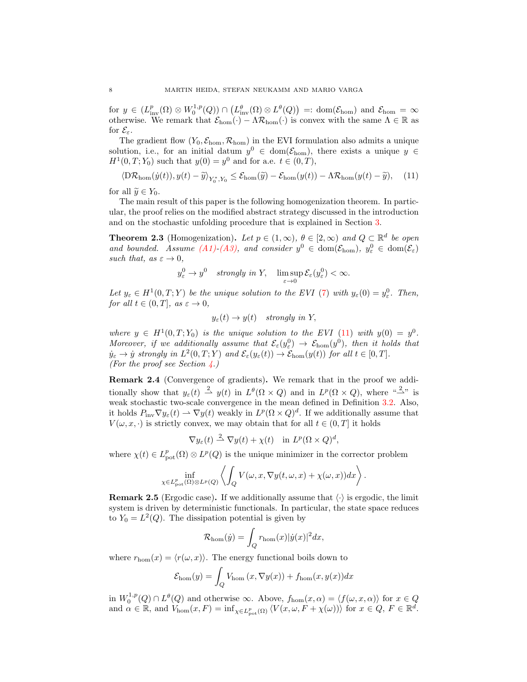for  $y \in (L^p_{\text{inv}}(\Omega) \otimes W_0^{1,p}(Q)) \cap (L^{\theta}_{\text{inv}}(\Omega) \otimes L^{\theta}(Q)) =: \text{dom}(\mathcal{E}_{\text{hom}})$  and  $\mathcal{E}_{\text{hom}} = \infty$ otherwise. We remark that  $\mathcal{E}_{\text{hom}}(\cdot) - \Lambda \mathcal{R}_{\text{hom}}(\cdot)$  is convex with the same  $\Lambda \in \mathbb{R}$  as for  $\mathcal{E}_{\varepsilon}$ .

The gradient flow  $(Y_0, \mathcal{E}_{\text{hom}}, \mathcal{R}_{\text{hom}})$  in the EVI formulation also admits a unique solution, i.e., for an initial datum  $y^0 \in \text{dom}(\mathcal{E}_{\text{hom}})$ , there exists a unique  $y \in$  $H^1(0,T; Y_0)$  such that  $y(0) = y^0$  and for a.e.  $t \in (0,T)$ ,

<span id="page-7-1"></span>
$$
\langle \mathcal{D}\mathcal{R}_{\text{hom}}(\dot{y}(t)), y(t) - \widetilde{y} \rangle_{Y_0^*, Y_0} \le \mathcal{E}_{\text{hom}}(\widetilde{y}) - \mathcal{E}_{\text{hom}}(y(t)) - \Lambda \mathcal{R}_{\text{hom}}(y(t) - \widetilde{y}), \quad (11)
$$

for all  $\widetilde{y} \in Y_0$ .

The main result of this paper is the following homogenization theorem. In particular, the proof relies on the modified abstract strategy discussed in the introduction and on the stochastic unfolding procedure that is explained in Section [3.](#page-8-0)

<span id="page-7-0"></span>**Theorem 2.3** (Homogenization). Let  $p \in (1,\infty)$ ,  $\theta \in [2,\infty)$  and  $Q \subset \mathbb{R}^d$  be open and bounded. Assume  $(A1)-(A3)$  $(A1)-(A3)$ , and consider  $y^0 \in \text{dom}(\mathcal{E}_{\text{hom}})$ ,  $y^0_{\varepsilon} \in \text{dom}(\mathcal{E}_{\varepsilon})$ such that, as  $\varepsilon \to 0$ ,

$$
y_{\varepsilon}^{0} \to y^{0}
$$
 strongly in Y,  $\limsup_{\varepsilon \to 0} \mathcal{E}_{\varepsilon}(y_{\varepsilon}^{0}) < \infty$ .

Let  $y_{\varepsilon} \in H^1(0,T;Y)$  be the unique solution to the EVI [\(7\)](#page-6-1) with  $y_{\varepsilon}(0) = y_{\varepsilon}^0$ . Then, for all  $t \in (0, T]$ , as  $\varepsilon \to 0$ ,

$$
y_{\varepsilon}(t) \to y(t)
$$
 strongly in Y,

where  $y \in H^1(0,T; Y_0)$  is the unique solution to the EVI [\(11\)](#page-7-1) with  $y(0) = y^0$ . Moreover, if we additionally assume that  $\mathcal{E}_{\varepsilon}(y^0_{\varepsilon}) \to \mathcal{E}_{\text{hom}}(y^0)$ , then it holds that  $\dot{y}_{\varepsilon} \to \dot{y}$  strongly in  $L^2(0,T;Y)$  and  $\mathcal{E}_{\varepsilon}(y_{\varepsilon}(t)) \to \mathcal{E}_{\text{hom}}(y(t))$  for all  $t \in [0,T]$ . (For the proof see Section  $\angle$ .)

Remark 2.4 (Convergence of gradients). We remark that in the proof we additionally show that  $y_{\varepsilon}(t) \stackrel{2}{\rightarrow} y(t)$  in  $L^{\theta}(\Omega \times Q)$  and in  $L^p(\Omega \times Q)$ , where " $\stackrel{2}{\rightarrow}$ " is weak stochastic two-scale convergence in the mean defined in Definition [3.2.](#page-8-1) Also, it holds  $P_{\text{inv}} \nabla y_{\varepsilon}(t) \rightharpoonup \nabla y(t)$  weakly in  $L^p(\Omega \times Q)^d$ . If we additionally assume that  $V(\omega, x, \cdot)$  is strictly convex, we may obtain that for all  $t \in (0,T]$  it holds

$$
\nabla y_{\varepsilon}(t) \stackrel{2}{\rightharpoonup} \nabla y(t) + \chi(t) \quad \text{in } L^p(\Omega \times Q)^d,
$$

where  $\chi(t) \in L^p_{\text{pot}}(\Omega) \otimes L^p(Q)$  is the unique minimizer in the corrector problem

$$
\inf_{\chi \in L^p_{\text{pot}}(\Omega) \otimes L^p(Q)} \left\langle \int_Q V(\omega, x, \nabla y(t, \omega, x) + \chi(\omega, x)) dx \right\rangle.
$$

**Remark 2.5** (Ergodic case). If we additionally assume that  $\langle \cdot \rangle$  is ergodic, the limit system is driven by deterministic functionals. In particular, the state space reduces to  $Y_0 = L^2(Q)$ . The dissipation potential is given by

$$
\mathcal{R}_{\text{hom}}(\dot{y}) = \int_{Q} r_{\text{hom}}(x) |\dot{y}(x)|^{2} dx,
$$

where  $r_{\text{hom}}(x) = \langle r(\omega, x) \rangle$ . The energy functional boils down to

$$
\mathcal{E}_{\text{hom}}(y) = \int_{Q} V_{\text{hom}}(x, \nabla y(x)) + f_{\text{hom}}(x, y(x))dx
$$

in  $W_0^{1,p}(Q) \cap L^{\theta}(Q)$  and otherwise  $\infty$ . Above,  $f_{\text{hom}}(x,\alpha) = \langle f(\omega, x, \alpha) \rangle$  for  $x \in Q$ and  $\alpha \in \mathbb{R}$ , and  $V_{\text{hom}}(x, F) = \inf_{\chi \in L^p_{\text{pot}}(\Omega)} \langle V(x, \omega, F + \chi(\omega)) \rangle$  for  $x \in Q, F \in \mathbb{R}^d$ .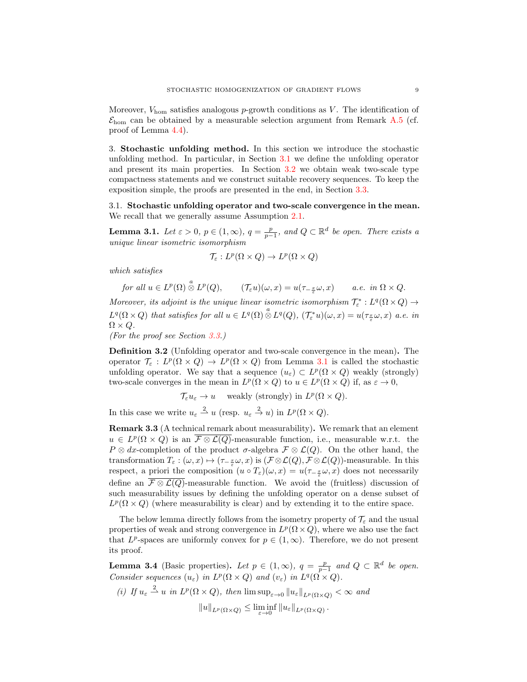Moreover,  $V_{\text{hom}}$  satisfies analogous p-growth conditions as V. The identification of  $\mathcal{E}_{\text{hom}}$  can be obtained by a measurable selection argument from Remark [A.5](#page-23-0) (cf. proof of Lemma [4.4\)](#page-17-0).

<span id="page-8-0"></span>3. Stochastic unfolding method. In this section we introduce the stochastic unfolding method. In particular, in Section [3.1](#page-8-2) we define the unfolding operator and present its main properties. In Section [3.2](#page-10-0) we obtain weak two-scale type compactness statements and we construct suitable recovery sequences. To keep the exposition simple, the proofs are presented in the end, in Section [3.3.](#page-10-1)

<span id="page-8-2"></span>3.1. Stochastic unfolding operator and two-scale convergence in the mean. We recall that we generally assume Assumption [2.1.](#page-4-1)

<span id="page-8-3"></span>**Lemma 3.1.** Let  $\varepsilon > 0$ ,  $p \in (1, \infty)$ ,  $q = \frac{p}{p-1}$ , and  $Q \subset \mathbb{R}^d$  be open. There exists a unique linear isometric isomorphism

$$
\mathcal{T}_{\varepsilon}: L^p(\Omega \times Q) \to L^p(\Omega \times Q)
$$

which satisfies

for all  $u \in L^p(\Omega) \overset{a}{\otimes} L^p(Q)$ ,  $(\mathcal{T}_{\varepsilon} u)(\omega, x) = u(\tau_{-\frac{x}{\varepsilon}} \omega, x)$  a.e. in  $\Omega \times Q$ .

Moreover, its adjoint is the unique linear isometric isomorphism  $\mathcal{T}_{\varepsilon}^{*}: L^{q}(\Omega \times Q) \to$  $L^q(\Omega\times Q)$  that satisfies for all  $u\in L^q(\Omega)\overset{a}{\otimes}L^q(Q)$ ,  $(\mathcal{T}_{\varepsilon}^*u)(\omega,x)=u(\tau_{\frac{x}{\varepsilon}}\omega,x)$  a.e. in  $\Omega \times Q$ .

(For the proof see Section [3.3.](#page-10-1))

<span id="page-8-1"></span>Definition 3.2 (Unfolding operator and two-scale convergence in the mean). The operator  $\mathcal{T}_{\varepsilon}: L^p(\Omega \times Q) \to L^p(\Omega \times Q)$  from Lemma [3.1](#page-8-3) is called the stochastic unfolding operator. We say that a sequence  $(u_{\varepsilon}) \subset L^p(\Omega \times Q)$  weakly (strongly) two-scale converges in the mean in  $L^p(\Omega \times Q)$  to  $u \in L^p(\Omega \times Q)$  if, as  $\varepsilon \to 0$ ,

 $\mathcal{T}_{\varepsilon} u_{\varepsilon} \to u$  weakly (strongly) in  $L^p(\Omega \times Q)$ .

In this case we write  $u_{\varepsilon} \stackrel{2}{\rightharpoonup} u$  (resp.  $u_{\varepsilon} \stackrel{2}{\rightharpoonup} u$ ) in  $L^p(\Omega \times Q)$ .

Remark 3.3 (A technical remark about measurability). We remark that an element  $u \in L^p(\Omega \times Q)$  is an  $\overline{\mathcal{F} \otimes \mathcal{L}(Q)}$ -measurable function, i.e., measurable w.r.t. the  $P \otimes dx$ -completion of the product  $\sigma$ -algebra  $\mathcal{F} \otimes \mathcal{L}(Q)$ . On the other hand, the transformation  $T_{\varepsilon} : (\omega, x) \mapsto (\tau_{-\frac{x}{\varepsilon}}\omega, x)$  is  $(\mathcal{F} \otimes \mathcal{L}(Q), \mathcal{F} \otimes \mathcal{L}(Q))$ -measurable. In this respect, a priori the composition  $(u \circ T_{\varepsilon})(\omega, x) = u(\tau_{-\frac{x}{\varepsilon}}\omega, x)$  does not necessarily define an  $\overline{\mathcal{F}\otimes\mathcal{L}(Q)}$ -measurable function. We avoid the (fruitless) discussion of such measurability issues by defining the unfolding operator on a dense subset of  $L^p(\Omega \times Q)$  (where measurability is clear) and by extending it to the entire space.

The below lemma directly follows from the isometry property of  $\mathcal{T}_{\varepsilon}$  and the usual properties of weak and strong convergence in  $L^p(\Omega \times Q)$ , where we also use the fact that  $L^p$ -spaces are uniformly convex for  $p \in (1,\infty)$ . Therefore, we do not present its proof.

<span id="page-8-4"></span>**Lemma 3.4** (Basic properties). Let  $p \in (1,\infty)$ ,  $q = \frac{p}{p-1}$  and  $Q \subset \mathbb{R}^d$  be open. Consider sequences  $(u_{\varepsilon})$  in  $L^p(\Omega \times Q)$  and  $(v_{\varepsilon})$  in  $L^q(\Omega \times Q)$ .

(i) If 
$$
u_{\varepsilon} \stackrel{2}{\rightharpoonup} u
$$
 in  $L^p(\Omega \times Q)$ , then  $\limsup_{\varepsilon \to 0} ||u_{\varepsilon}||_{L^p(\Omega \times Q)} < \infty$  and

$$
||u||_{L^p(\Omega\times Q)} \le \liminf_{\varepsilon \to 0} ||u_\varepsilon||_{L^p(\Omega\times Q)}
$$

.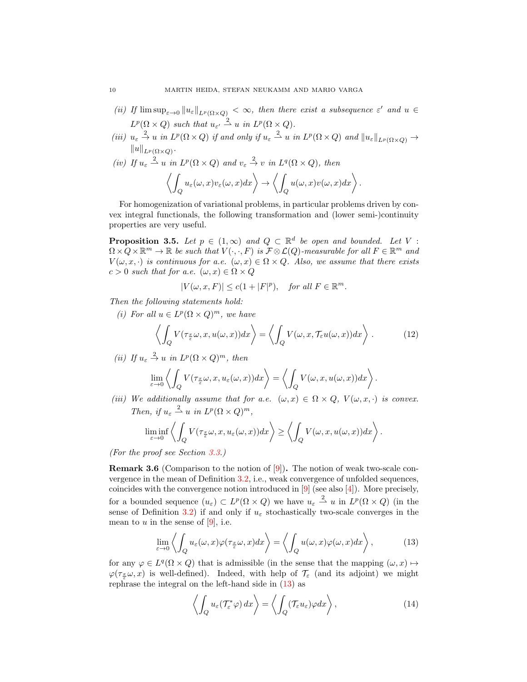- (ii) If  $\limsup_{\varepsilon\to 0}||u_{\varepsilon}||_{L^p(\Omega\times Q)} < \infty$ , then there exist a subsequence  $\varepsilon'$  and  $u \in$  $L^p(\Omega \times Q)$  such that  $u_{\varepsilon'} \stackrel{2}{\rightharpoonup} u$  in  $L^p(\Omega \times Q)$ .
- (iii)  $u_{\varepsilon} \stackrel{2}{\to} u$  in  $L^p(\Omega \times Q)$  if and only if  $u_{\varepsilon} \stackrel{2}{\to} u$  in  $L^p(\Omega \times Q)$  and  $||u_{\varepsilon}||_{L^p(\Omega \times Q)} \to$  $||u||_{L^p(\Omega\times Q)}$ .
- (iv) If  $u_{\varepsilon} \stackrel{2}{\rightharpoonup} u$  in  $L^p(\Omega \times Q)$  and  $v_{\varepsilon} \stackrel{2}{\rightarrow} v$  in  $L^q(\Omega \times Q)$ , then  $\frac{1}{2}$  $\left\langle \begin{array}{l} u_\varepsilon(\omega,x)v_\varepsilon(\omega,x)dx \end{array} \right\rangle \rightarrow \left\langle \begin{array}{l} 0 \end{array} \right\rangle$ Q  $u(\omega, x)v(\omega, x)dx\bigg\rangle$ .

For homogenization of variational problems, in particular problems driven by convex integral functionals, the following transformation and (lower semi-)continuity properties are very useful.

<span id="page-9-1"></span>**Proposition 3.5.** Let  $p \in (1,\infty)$  and  $Q \subset \mathbb{R}^d$  be open and bounded. Let V:  $\Omega \times Q \times \mathbb{R}^m \to \mathbb{R}$  be such that  $V(\cdot, \cdot, F)$  is  $\mathcal{F} \otimes \mathcal{L}(Q)$ -measurable for all  $F \in \mathbb{R}^m$  and  $V(\omega, x, \cdot)$  is continuous for a.e.  $(\omega, x) \in \Omega \times Q$ . Also, we assume that there exists  $c > 0$  such that for a.e.  $(\omega, x) \in \Omega \times Q$ 

$$
|V(\omega, x, F)| \le c(1+|F|^p), \quad \text{for all } F \in \mathbb{R}^m.
$$

Then the following statements hold:

(i) For all  $u \in L^p(\Omega \times Q)^m$ , we have

<span id="page-9-2"></span>
$$
\left\langle \int_{Q} V(\tau_{\frac{x}{\varepsilon}}\omega, x, u(\omega, x)) dx \right\rangle = \left\langle \int_{Q} V(\omega, x, \mathcal{T}_{\varepsilon}u(\omega, x)) dx \right\rangle. \tag{12}
$$

(ii) If  $u_{\varepsilon} \stackrel{2}{\rightarrow} u$  in  $L^p(\Omega \times Q)^m$ , then

$$
\lim_{\varepsilon \to 0} \left\langle \int_Q V(\tau_{\frac{x}{\varepsilon}} \omega, x, u_\varepsilon(\omega, x)) dx \right\rangle = \left\langle \int_Q V(\omega, x, u(\omega, x)) dx \right\rangle.
$$

(iii) We additionally assume that for a.e.  $(\omega, x) \in \Omega \times Q$ ,  $V(\omega, x, \cdot)$  is convex. Then, if  $u_{\varepsilon} \stackrel{2}{\rightharpoonup} u$  in  $L^p(\Omega \times Q)^m$ ,

$$
\liminf_{\varepsilon\to 0}\left\langle\int_Q V(\tau_{\frac{x}{\varepsilon}}\omega,x,u_\varepsilon(\omega,x))dx\right\rangle\geq \left\langle\int_Q V(\omega,x,u(\omega,x))dx\right\rangle.
$$

(For the proof see Section [3.3.](#page-10-1))

**Remark 3.6** (Comparison to the notion of  $[9]$ ). The notion of weak two-scale convergence in the mean of Definition [3.2,](#page-8-1) i.e., weak convergence of unfolded sequences, coincides with the convergence notion introduced in [\[9\]](#page-24-14) (see also [\[4\]](#page-24-15)). More precisely, for a bounded sequence  $(u_{\varepsilon}) \subset L^p(\Omega \times Q)$  we have  $u_{\varepsilon} \stackrel{2}{\rightharpoonup} u$  in  $L^p(\Omega \times Q)$  (in the sense of Definition [3.2\)](#page-8-1) if and only if  $u_{\varepsilon}$  stochastically two-scale converges in the mean to  $u$  in the sense of [\[9\]](#page-24-14), i.e.

<span id="page-9-0"></span>
$$
\lim_{\varepsilon \to 0} \left\langle \int_Q u_\varepsilon(\omega, x) \varphi(\tau_{\frac{x}{\varepsilon}} \omega, x) dx \right\rangle = \left\langle \int_Q u(\omega, x) \varphi(\omega, x) dx \right\rangle, \tag{13}
$$

for any  $\varphi \in L^q(\Omega \times Q)$  that is admissible (in the sense that the mapping  $(\omega, x) \mapsto$  $\varphi(\tau_{\frac{x}{\varepsilon}}\omega, x)$  is well-defined). Indeed, with help of  $\mathcal{T}_{\varepsilon}$  (and its adjoint) we might rephrase the integral on the left-hand side in [\(13\)](#page-9-0) as

$$
\left\langle \int_{Q} u_{\varepsilon}(\mathcal{T}_{\varepsilon}^{*}\varphi) dx \right\rangle = \left\langle \int_{Q} (\mathcal{T}_{\varepsilon}u_{\varepsilon})\varphi dx \right\rangle, \tag{14}
$$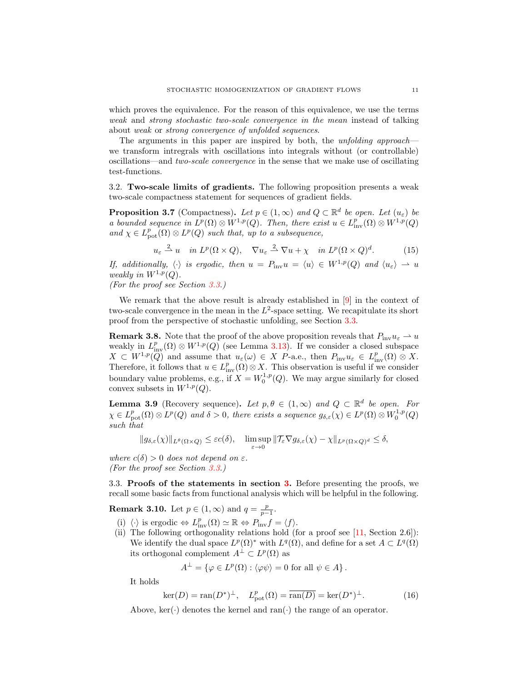which proves the equivalence. For the reason of this equivalence, we use the terms weak and strong stochastic two-scale convergence in the mean instead of talking about weak or strong convergence of unfolded sequences.

The arguments in this paper are inspired by both, the *unfolding approach* we transform intregrals with oscillations into integrals without (or controllable) oscillations—and two-scale convergence in the sense that we make use of oscillating test-functions.

<span id="page-10-0"></span>3.2. Two-scale limits of gradients. The following proposition presents a weak two-scale compactness statement for sequences of gradient fields.

<span id="page-10-2"></span>**Proposition 3.7** (Compactness). Let  $p \in (1,\infty)$  and  $Q \subset \mathbb{R}^d$  be open. Let  $(u_{\varepsilon})$  be a bounded sequence in  $L^p(\Omega) \otimes W^{1,p}(Q)$ . Then, there exist  $u \in L^p_{\text{inv}}(\Omega) \otimes W^{1,p}(Q)$ and  $\chi \in L^p_{\text{pot}}(\Omega) \otimes L^p(Q)$  such that, up to a subsequence,

$$
u_{\varepsilon} \stackrel{2}{\rightharpoonup} u \quad \text{in } L^p(\Omega \times Q), \quad \nabla u_{\varepsilon} \stackrel{2}{\rightharpoonup} \nabla u + \chi \quad \text{in } L^p(\Omega \times Q)^d. \tag{15}
$$

If, additionally,  $\langle \cdot \rangle$  is ergodic, then  $u = P_{\text{inv}}u = \langle u \rangle \in W^{1,p}(Q)$  and  $\langle u_{\varepsilon} \rangle \to u$ weakly in  $W^{1,p}(Q)$ .

(For the proof see Section [3.3.](#page-10-1))

We remark that the above result is already established in [\[9\]](#page-24-14) in the context of two-scale convergence in the mean in the  $L^2$ -space setting. We recapitulate its short proof from the perspective of stochastic unfolding, see Section [3.3.](#page-10-1)

<span id="page-10-5"></span>**Remark 3.8.** Note that the proof of the above proposition reveals that  $P_{\text{inv}}u_{\varepsilon} \to u$ weakly in  $L^p_{\text{inv}}(\Omega) \otimes W^{1,p}(Q)$  (see Lemma [3.13\)](#page-13-0). If we consider a closed subspace  $X \subset W^{1,p}(\mathbb{Q})$  and assume that  $u_{\varepsilon}(\omega) \in X$  P-a.e., then  $P_{\text{inv}}u_{\varepsilon} \in L^p_{\text{inv}}(\Omega) \otimes X$ . Therefore, it follows that  $u \in L^p_{\text{inv}}(\Omega) \otimes X$ . This observation is useful if we consider boundary value problems, e.g., if  $X = W_0^{1,p}(Q)$ . We may argue similarly for closed convex subsets in  $W^{1,p}(Q)$ .

<span id="page-10-4"></span>**Lemma 3.9** (Recovery sequence). Let  $p, \theta \in (1, \infty)$  and  $Q \subset \mathbb{R}^d$  be open. For  $\chi \in L^p_{\text{pot}}(\Omega)\otimes L^p(Q)$  and  $\delta > 0$ , there exists a sequence  $g_{\delta,\varepsilon}(\chi) \in L^p(\Omega)\otimes W_0^{1,p}(Q)$ such that

$$
||g_{\delta,\varepsilon}(\chi)||_{L^{\theta}(\Omega\times Q)} \leq \varepsilon c(\delta), \quad \limsup_{\varepsilon \to 0} ||\mathcal{T}_{\varepsilon} \nabla g_{\delta,\varepsilon}(\chi) - \chi||_{L^p(\Omega\times Q)^d} \leq \delta,
$$

where  $c(\delta) > 0$  does not depend on  $\varepsilon$ . (For the proof see Section [3.3.](#page-10-1))

<span id="page-10-1"></span>3.3. Proofs of the statements in section [3.](#page-8-0) Before presenting the proofs, we recall some basic facts from functional analysis which will be helpful in the following.

**Remark 3.10.** Let  $p \in (1, \infty)$  and  $q = \frac{p}{p-1}$ .

- (i)  $\langle \cdot \rangle$  is ergodic  $\Leftrightarrow L_{\text{inv}}^p(\Omega) \simeq \mathbb{R} \Leftrightarrow P_{\text{inv}}f = \langle f \rangle.$
- (ii) The following orthogonality relations hold (for a proof see [\[11,](#page-24-24) Section 2.6]): We identify the dual space  $L^p(\Omega)$ <sup>\*</sup> with  $L^q(\Omega)$ , and define for a set  $A \subset L^q(\Omega)$ its orthogonal complement  $A^{\perp} \subset L^p(\Omega)$  as

$$
A^{\perp} = \{ \varphi \in L^{p}(\Omega) : \langle \varphi \psi \rangle = 0 \text{ for all } \psi \in A \}.
$$

It holds

<span id="page-10-3"></span>
$$
\ker(D) = \operatorname{ran}(D^*)^{\perp}, \quad L^p_{\text{pot}}(\Omega) = \overline{\operatorname{ran}(D)} = \ker(D^*)^{\perp}.
$$
 (16)

Above,  $\ker(\cdot)$  denotes the kernel and ran $(\cdot)$  the range of an operator.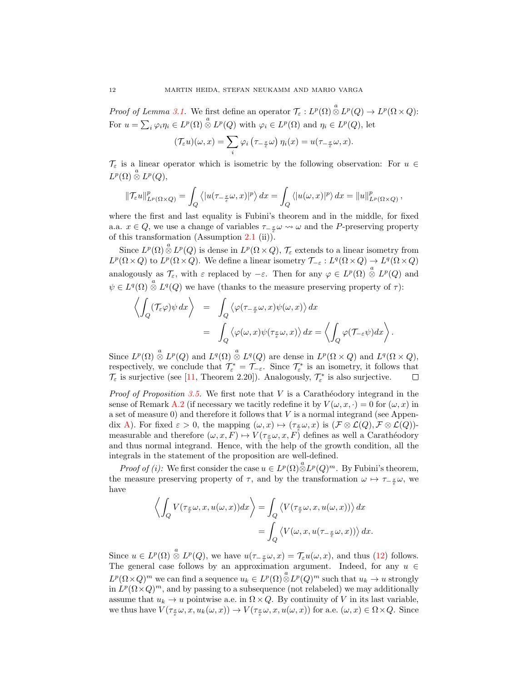Proof of Lemma [3.1.](#page-8-3) We first define an operator  $\mathcal{T}_{\varepsilon}: L^p(\Omega)\overset{a}{\otimes}L^p(Q)\to L^p(\Omega\times Q)$ : For  $u = \sum_i \varphi_i \eta_i \in L^p(\Omega) \overset{a}{\otimes} L^p(Q)$  with  $\varphi_i \in L^p(\Omega)$  and  $\eta_i \in L^p(Q)$ , let

$$
(\mathcal{T}_{\varepsilon} u)(\omega, x) = \sum_{i} \varphi_{i} (\tau_{-\frac{x}{\varepsilon}} \omega) \eta_{i}(x) = u(\tau_{-\frac{x}{\varepsilon}} \omega, x).
$$

 $\mathcal{T}_{\varepsilon}$  is a linear operator which is isometric by the following observation: For  $u \in$  $L^p(\Omega)\overset{a}{\otimes}L^p(Q),$ 

$$
\|\mathcal{T}_{\varepsilon}u\|_{L^{p}(\Omega\times Q)}^{p}=\int_{Q}\left\langle |u(\tau_{-\frac{x}{\varepsilon}}\omega,x)|^{p}\right\rangle dx=\int_{Q}\left\langle |u(\omega,x)|^{p}\right\rangle dx=\|u\|_{L^{p}(\Omega\times Q)}^{p},
$$

where the first and last equality is Fubini's theorem and in the middle, for fixed a.a.  $x \in Q$ , we use a change of variables  $\tau_{-\frac{x}{\varepsilon}} \omega \leadsto \omega$  and the P-preserving property of this transformation (Assumption [2.1](#page-4-1) (ii)).

Since  $L^p(\Omega) \overset{a}{\otimes} L^p(Q)$  is dense in  $L^p(\Omega \times Q)$ ,  $\mathcal{T}_{\varepsilon}$  extends to a linear isometry from  $L^p(\Omega\times Q)$  to  $L^p(\Omega\times Q)$ . We define a linear isometry  $\mathcal{T}_{-\varepsilon}: L^q(\Omega\times Q)\to L^q(\Omega\times Q)$ analogously as  $\mathcal{T}_{\varepsilon}$ , with  $\varepsilon$  replaced by  $-\varepsilon$ . Then for any  $\varphi \in L^p(\Omega) \overset{a}{\otimes} L^p(Q)$  and  $\psi \in L^q(\Omega) \overset{a}{\otimes} L^q(Q)$  we have (thanks to the measure preserving property of  $\tau$ ):

$$
\left\langle \int_Q (\mathcal{T}_{\varepsilon} \varphi) \psi \, dx \right\rangle = \int_Q \left\langle \varphi(\tau_{-\frac{x}{\varepsilon}} \omega, x) \psi(\omega, x) \right\rangle dx
$$
  
= 
$$
\int_Q \left\langle \varphi(\omega, x) \psi(\tau_{\frac{x}{\varepsilon}} \omega, x) \right\rangle dx = \left\langle \int_Q \varphi(\mathcal{T}_{-\varepsilon} \psi) dx \right\rangle.
$$

Since  $L^p(\Omega) \stackrel{a}{\otimes} L^p(Q)$  and  $L^q(\Omega) \stackrel{a}{\otimes} L^q(Q)$  are dense in  $L^p(\Omega \times Q)$  and  $L^q(\Omega \times Q)$ , respectively, we conclude that  $\mathcal{T}_{\varepsilon}^* = \mathcal{T}_{-\varepsilon}$ . Since  $\mathcal{T}_{\varepsilon}^*$  is an isometry, it follows that  $\mathcal{T}_{\varepsilon}$  is surjective (see [\[11,](#page-24-24) Theorem 2.20]). Analogously,  $\mathcal{T}_{\varepsilon}^{*}$  is also surjective.  $\Box$ 

*Proof of Proposition [3.5.](#page-9-1)* We first note that  $V$  is a Carathéodory integrand in the sense of Remark [A.2](#page-23-1) (if necessary we tacitly redefine it by  $V(\omega, x, \cdot) = 0$  for  $(\omega, x)$  in a set of measure  $(0)$  and therefore it follows that V is a normal integrand (see Appen-dix [A\)](#page-22-0). For fixed  $\varepsilon > 0$ , the mapping  $(\omega, x) \mapsto (\tau_{\frac{\varepsilon}{2}} \omega, x)$  is  $(\mathcal{F} \otimes \mathcal{L}(Q), \mathcal{F} \otimes \mathcal{L}(Q))$ measurable and therefore  $(\omega, x, F) \mapsto V(\tau_{\frac{x}{\epsilon}} \omega, x, F)$  defines as well a Carathéodory and thus normal integrand. Hence, with the help of the growth condition, all the integrals in the statement of the proposition are well-defined.

*Proof of (i):* We first consider the case  $u \in L^p(\Omega) \overset{a}{\otimes} L^p(Q)^m$ . By Fubini's theorem, the measure preserving property of  $\tau$ , and by the transformation  $\omega \mapsto \tau_{-\frac{x}{\varepsilon}}\omega$ , we have

$$
\left\langle \int_{Q} V(\tau_{\frac{x}{\varepsilon}} \omega, x, u(\omega, x)) dx \right\rangle = \int_{Q} \left\langle V(\tau_{\frac{x}{\varepsilon}} \omega, x, u(\omega, x)) \right\rangle dx
$$
  
= 
$$
\int_{Q} \left\langle V(\omega, x, u(\tau_{-\frac{x}{\varepsilon}} \omega, x)) \right\rangle dx.
$$

Since  $u \in L^p(\Omega) \overset{a}{\otimes} L^p(Q)$ , we have  $u(\tau_{-\frac{x}{\varepsilon}}\omega, x) = \mathcal{T}_{\varepsilon}u(\omega, x)$ , and thus [\(12\)](#page-9-2) follows. The general case follows by an approximation argument. Indeed, for any  $u \in$  $L^p(\Omega\times Q)^m$  we can find a sequence  $u_k\in L^p(\Omega)\overset{a}{\otimes}L^p(Q)^m$  such that  $u_k\to u$  strongly in  $L^p(\Omega \times Q)^m$ , and by passing to a subsequence (not relabeled) we may additionally assume that  $u_k \to u$  pointwise a.e. in  $\Omega \times Q$ . By continuity of V in its last variable, we thus have  $V(\tau_{\frac{x}{\varepsilon}}\omega, x, u_k(\omega, x)) \to V(\tau_{\frac{x}{\varepsilon}}\omega, x, u(\omega, x))$  for a.e.  $(\omega, x) \in \Omega \times Q$ . Since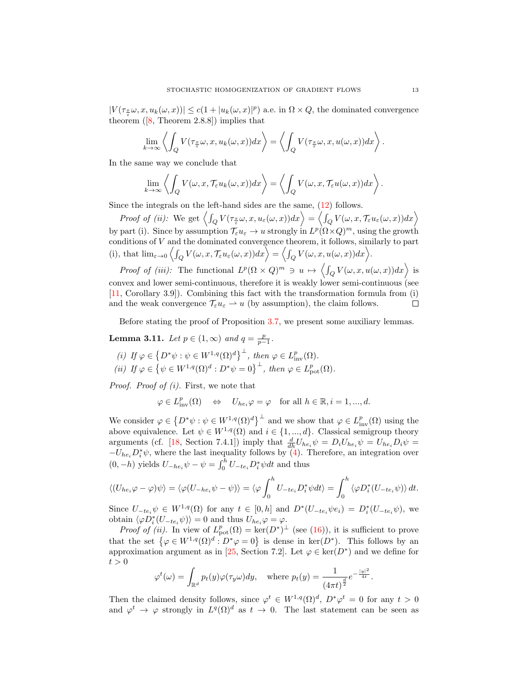$|V(\tau_{\frac{x}{\varepsilon}}\omega, x, u_k(\omega, x))| \leq c(1+|u_k(\omega, x)|^p)$  a.e. in  $\Omega \times Q$ , the dominated convergence theorem $([8, Theorem 2.8.8])$  $([8, Theorem 2.8.8])$  $([8, Theorem 2.8.8])$  implies that

$$
\lim_{k \to \infty} \left\langle \int_Q V(\tau_{\frac{x}{\varepsilon}} \omega, x, u_k(\omega, x)) dx \right\rangle = \left\langle \int_Q V(\tau_{\frac{x}{\varepsilon}} \omega, x, u(\omega, x)) dx \right\rangle.
$$

In the same way we conclude that

$$
\lim_{k\to\infty}\left\langle\int_Q V(\omega,x,\mathcal{T}_{\varepsilon} u_k(\omega,x))dx\right\rangle=\left\langle\int_Q V(\omega,x,\mathcal{T}_{\varepsilon} u(\omega,x))dx\right\rangle.
$$

Since the integrals on the left-hand sides are the same, [\(12\)](#page-9-2) follows.

Proof of (ii): We get  $\left\langle \int_Q V(\tau_{\frac{x}{\varepsilon}}\omega, x, u_\varepsilon(\omega, x))dx\right\rangle = \left\langle \int_Q V(\omega, x, \mathcal{T}_\varepsilon u_\varepsilon(\omega, x))dx\right\rangle$ by part (i). Since by assumption  $\mathcal{T}_{\varepsilon} u_{\varepsilon} \to u$  strongly in  $L^p(\Omega \times Q)^m$ , using the growth conditions of V and the dominated convergence theorem, it follows, similarly to part (i), that  $\lim_{\varepsilon \to 0} \left\langle \int_Q V(\omega, x, \mathcal{T}_{\varepsilon} u_{\varepsilon}(\omega, x)) dx \right\rangle = \left\langle \int_Q V(\omega, x, u(\omega, x)) dx \right\rangle$ .

Proof of (iii): The functional  $L^p(\Omega \times Q)^m \ni u \mapsto \left\langle \int_Q V(\omega, x, u(\omega, x)) dx \right\rangle$  is convex and lower semi-continuous, therefore it is weakly lower semi-continuous (see [\[11,](#page-24-24) Corollary 3.9]). Combining this fact with the transformation formula from (i) and the weak convergence  $\mathcal{T}_{\varepsilon} u_{\varepsilon} \to u$  (by assumption), the claim follows.  $\Box$ 

Before stating the proof of Proposition [3.7,](#page-10-2) we present some auxiliary lemmas.

<span id="page-12-0"></span>**Lemma 3.11.** Let  $p \in (1, \infty)$  and  $q = \frac{p}{p-1}$ .

(i) If 
$$
\varphi \in \{D^*\psi : \psi \in W^{1,q}(\Omega)^d\}^{\perp}
$$
, then  $\varphi \in L^p_{\text{inv}}(\Omega)$ .  
\n(ii) If  $\varphi \in \{\psi \in W^{1,q}(\Omega)^d : D^*\psi = 0\}^{\perp}$ , then  $\varphi \in L^p_{\text{pot}}(\Omega)$ .

Proof. Proof of (i). First, we note that

 $\varphi \in L^p_{\text{inv}}(\Omega) \quad \Leftrightarrow \quad U_{he_i}\varphi = \varphi \quad \text{for all } h \in \mathbb{R}, i = 1, ..., d.$ 

We consider  $\varphi \in \left\{ D^*\psi : \psi \in W^{1,q}(\Omega)^d \right\}^{\perp}$  and we show that  $\varphi \in L^p_{\text{inv}}(\Omega)$  using the above equivalence. Let  $\psi \in W^{1,q}(\Omega)$  and  $i \in \{1, ..., d\}$ . Classical semigroup theory arguments (cf. [\[18,](#page-24-23) Section 7.4.1]) imply that  $\frac{d}{dh}U_{he_i}\psi = D_iU_{he_i}\psi = U_{he_i}D_i\psi =$  $-U_{he_i}D_i^*\psi$ , where the last inequality follows by [\(4\)](#page-5-1). Therefore, an integration over  $(0, -h)$  yields  $U_{-he_i}\psi - \psi = \int_0^h U_{-te_i}D_i^*\psi dt$  and thus

$$
\langle (U_{he_i}\varphi - \varphi)\psi \rangle = \langle \varphi(U_{-he_i}\psi - \psi) \rangle = \langle \varphi \int_0^h U_{-te_i}D_i^*\psi dt \rangle = \int_0^h \langle \varphi D_i^*(U_{-te_i}\psi) \rangle dt.
$$

Since  $U_{-te_i}\psi \in W^{1,q}(\Omega)$  for any  $t \in [0,h]$  and  $D^*(U_{-te_i}\psi e_i) = D_i^*(U_{-te_i}\psi)$ , we obtain  $\langle \varphi D_i^*(U_{-te_i}\psi) \rangle = 0$  and thus  $U_{he_i}\varphi = \varphi$ .

*Proof of (ii)*. In view of  $L_{pot}^p(\Omega) = \ker(D^*)^{\perp}$  (see [\(16\)](#page-10-3)), it is sufficient to prove that the set  $\{\varphi \in W^{1,q}(\Omega)^d : D^*\varphi = 0\}$  is dense in ker $(D^*)$ . This follows by an approximation argument as in [\[25,](#page-24-22) Section 7.2]. Let  $\varphi \in \text{ker}(D^*)$  and we define for  $t > 0$ 

$$
\varphi^t(\omega) = \int_{\mathbb{R}^d} p_t(y)\varphi(\tau_y \omega)dy, \quad \text{where } p_t(y) = \frac{1}{(4\pi t)^{\frac{d}{2}}}e^{-\frac{|y|^2}{4t}}.
$$

Then the claimed density follows, since  $\varphi^t \in W^{1,q}(\Omega)^d$ ,  $D^*\varphi^t = 0$  for any  $t > 0$ and  $\varphi^t \to \varphi$  strongly in  $L^q(\Omega)^d$  as  $t \to 0$ . The last statement can be seen as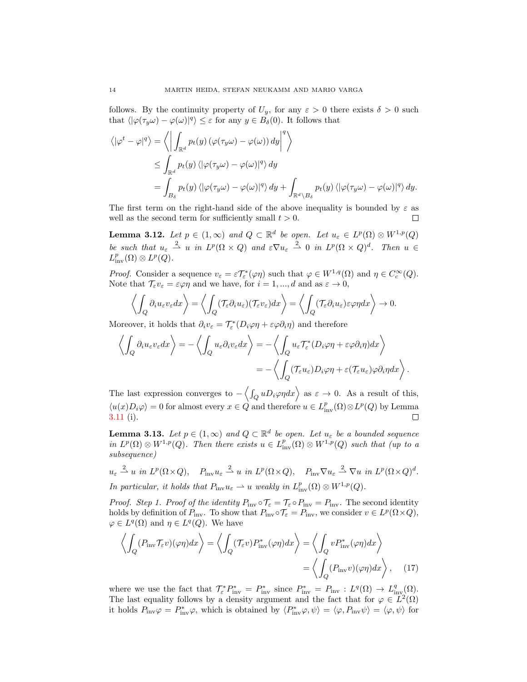follows. By the continuity property of  $U_y$ , for any  $\varepsilon > 0$  there exists  $\delta > 0$  such that  $\langle |\varphi(\tau_y \omega) - \varphi(\omega)|^q \rangle \leq \varepsilon$  for any  $y \in B_\delta(0)$ . It follows that

$$
\langle |\varphi^t - \varphi|^q \rangle = \left\langle \left| \int_{\mathbb{R}^d} p_t(y) \left( \varphi(\tau_y \omega) - \varphi(\omega) \right) dy \right|^q \right\rangle
$$
  
\n
$$
\leq \int_{\mathbb{R}^d} p_t(y) \left\langle |\varphi(\tau_y \omega) - \varphi(\omega)|^q \right\rangle dy
$$
  
\n
$$
= \int_{B_\delta} p_t(y) \left\langle |\varphi(\tau_y \omega) - \varphi(\omega)|^q \right\rangle dy + \int_{\mathbb{R}^d \setminus B_\delta} p_t(y) \left\langle |\varphi(\tau_y \omega) - \varphi(\omega)|^q \right\rangle dy.
$$

The first term on the right-hand side of the above inequality is bounded by  $\varepsilon$  as well as the second term for sufficiently small  $t > 0$ .  $\Box$ 

<span id="page-13-2"></span>**Lemma 3.12.** Let  $p \in (1,\infty)$  and  $Q \subset \mathbb{R}^d$  be open. Let  $u_{\varepsilon} \in L^p(\Omega) \otimes W^{1,p}(Q)$ be such that  $u_{\varepsilon} \stackrel{2}{\rightharpoonup} u$  in  $L^p(\Omega \times Q)$  and  $\varepsilon \nabla u_{\varepsilon} \stackrel{2}{\rightharpoonup} 0$  in  $L^p(\Omega \times Q)^d$ . Then  $u \in$  $L^p_{\text{inv}}(\Omega)\otimes L^p(Q)$ .

*Proof.* Consider a sequence  $v_{\varepsilon} = \varepsilon \mathcal{T}_{\varepsilon}^*(\varphi \eta)$  such that  $\varphi \in W^{1,q}(\Omega)$  and  $\eta \in C_c^{\infty}(Q)$ . Note that  $\mathcal{T}_{\varepsilon}v_{\varepsilon} = \varepsilon\varphi\eta$  and we have, for  $i = 1, ..., d$  and as  $\varepsilon \to 0$ ,

$$
\left\langle \int_Q \partial_i u_\varepsilon v_\varepsilon dx \right\rangle = \left\langle \int_Q (\mathcal{T}_\varepsilon \partial_i u_\varepsilon)(\mathcal{T}_\varepsilon v_\varepsilon) dx \right\rangle = \left\langle \int_Q (\mathcal{T}_\varepsilon \partial_i u_\varepsilon) \varepsilon \varphi \eta dx \right\rangle \to 0.
$$

Moreover, it holds that  $\partial_i v_\varepsilon = \mathcal{T}^*_\varepsilon(D_i \varphi \eta + \varepsilon \varphi \partial_i \eta)$  and therefore

$$
\left\langle \int_{Q} \partial_{i} u_{\varepsilon} v_{\varepsilon} dx \right\rangle = -\left\langle \int_{Q} u_{\varepsilon} \partial_{i} v_{\varepsilon} dx \right\rangle = -\left\langle \int_{Q} u_{\varepsilon} \mathcal{T}_{\varepsilon}^{*} (D_{i} \varphi \eta + \varepsilon \varphi \partial_{i} \eta) dx \right\rangle
$$

$$
= -\left\langle \int_{Q} (\mathcal{T}_{\varepsilon} u_{\varepsilon}) D_{i} \varphi \eta + \varepsilon (\mathcal{T}_{\varepsilon} u_{\varepsilon}) \varphi \partial_{i} \eta dx \right\rangle.
$$

The last expression converges to  $-\langle \int_Q u D_i \varphi \eta dx \rangle$  as  $\varepsilon \to 0$ . As a result of this,  $\langle u(x)D_i\varphi\rangle = 0$  for almost every  $x \in \hat{Q}$  and therefore  $u \in L^p_{\text{inv}}(\Omega) \otimes L^p(Q)$  by Lemma [3.11](#page-12-0) (i).  $\Box$ 

<span id="page-13-0"></span>**Lemma 3.13.** Let  $p \in (1,\infty)$  and  $Q \subset \mathbb{R}^d$  be open. Let  $u_{\varepsilon}$  be a bounded sequence in  $L^p(\Omega) \otimes W^{1,p}(Q)$ . Then there exists  $u \in L^p_{\text{inv}}(\Omega) \otimes W^{1,p}(Q)$  such that (up to a subsequence)

 $u_{\varepsilon} \stackrel{2}{\rightharpoonup} u$  in  $L^p(\Omega \times Q)$ ,  $P_{\text{inv}} u_{\varepsilon} \stackrel{2}{\rightharpoonup} u$  in  $L^p(\Omega \times Q)$ ,  $P_{\text{inv}} \nabla u_{\varepsilon} \stackrel{2}{\rightharpoonup} \nabla u$  in  $L^p(\Omega \times Q)^d$ . In particular, it holds that  $P_{\text{inv}}u_{\varepsilon} \rightharpoonup u$  weakly in  $L^p_{\text{inv}}(\Omega) \otimes W^{1,p}(Q)$ .

*Proof.* Step 1. Proof of the identity  $P_{\text{inv}} \circ T_{\varepsilon} = T_{\varepsilon} \circ P_{\text{inv}} = P_{\text{inv}}$ . The second identity holds by definition of  $P_{\text{inv}}$ . To show that  $P_{\text{inv}} \circ T_{\varepsilon} = P_{\text{inv}}$ , we consider  $v \in L^p(\Omega \times Q)$ ,  $\varphi \in L^q(\Omega)$  and  $\eta \in L^q(Q)$ . We have

<span id="page-13-1"></span>
$$
\left\langle \int_{Q} (P_{\text{inv}} \mathcal{T}_{\varepsilon} v)(\varphi \eta) dx \right\rangle = \left\langle \int_{Q} (\mathcal{T}_{\varepsilon} v) P_{\text{inv}}^{*}(\varphi \eta) dx \right\rangle = \left\langle \int_{Q} v P_{\text{inv}}^{*}(\varphi \eta) dx \right\rangle
$$

$$
= \left\langle \int_{Q} (P_{\text{inv}} v)(\varphi \eta) dx \right\rangle, \quad (17)
$$

where we use the fact that  $\mathcal{T}_{\varepsilon}^* P_{\text{inv}}^* = P_{\text{inv}}^*$  since  $P_{\text{inv}}^* = P_{\text{inv}} : L^q(\Omega) \to L^q_{\text{inv}}(\Omega)$ . The last equality follows by a density argument and the fact that for  $\varphi \in L^2(\Omega)$ it holds  $P_{\text{inv}}\varphi = P_{\text{inv}}^*\varphi$ , which is obtained by  $\langle P_{\text{inv}}^*\varphi, \psi \rangle = \langle \varphi, P_{\text{inv}}\psi \rangle = \langle \varphi, \psi \rangle$  for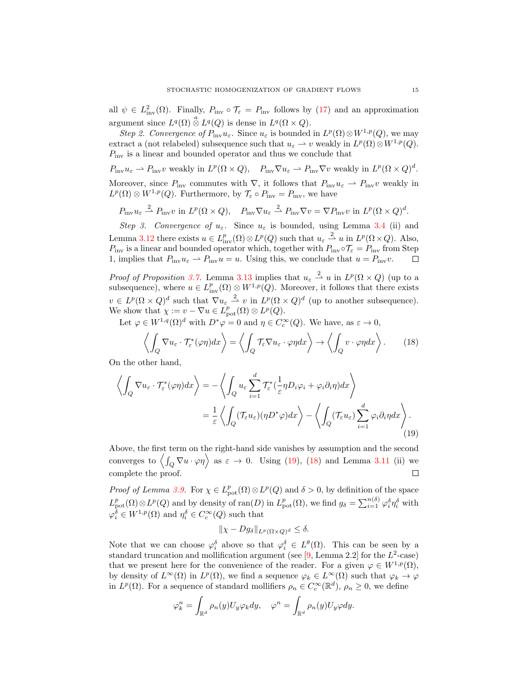all  $\psi \in L^2_{\text{inv}}(\Omega)$ . Finally,  $P_{\text{inv}} \circ \mathcal{T}_{\varepsilon} = P_{\text{inv}}$  follows by [\(17\)](#page-13-1) and an approximation argument since  $L^q(\Omega) \overset{a}{\otimes} L^q(Q)$  is dense in  $L^q(\Omega \times Q)$ .

Step 2. Convergence of  $P_{\text{inv}}u_{\varepsilon}$ . Since  $u_{\varepsilon}$  is bounded in  $L^p(\Omega) \otimes W^{1,p}(Q)$ , we may extract a (not relabeled) subsequence such that  $u_{\varepsilon} \to v$  weakly in  $L^p(\Omega) \otimes W^{1,p}(Q)$ .  $P_{\text{inv}}$  is a linear and bounded operator and thus we conclude that

 $P_{\text{inv}}u_{\varepsilon} \rightharpoonup P_{\text{inv}}v$  weakly in  $L^p(\Omega \times Q)$ ,  $P_{\text{inv}}\nabla u_{\varepsilon} \rightharpoonup P_{\text{inv}}\nabla v$  weakly in  $L^p(\Omega \times Q)^d$ . Moreover, since  $P_{\text{inv}}$  commutes with  $\nabla$ , it follows that  $P_{\text{inv}}u_{\varepsilon} \rightharpoonup P_{\text{inv}}v$  weakly in  $L^p(\Omega) \otimes W^{1,p}(Q)$ . Furthermore, by  $\mathcal{T}_{\varepsilon} \circ P_{\text{inv}} = P_{\text{inv}}$ , we have

 $P_{\text{inv}}u_{\varepsilon} \stackrel{2}{\rightharpoonup} P_{\text{inv}}v$  in  $L^p(\Omega \times Q)$ ,  $P_{\text{inv}}\nabla u_{\varepsilon} \stackrel{2}{\rightharpoonup} P_{\text{inv}}\nabla v = \nabla P_{\text{inv}}v$  in  $L^p(\Omega \times Q)^d$ .

Step 3. Convergence of  $u_{\varepsilon}$ . Since  $u_{\varepsilon}$  is bounded, using Lemma [3.4](#page-8-4) (ii) and Lemma [3.12](#page-13-2) there exists  $u \in L^p_{\text{inv}}(\Omega) \otimes L^p(Q)$  such that  $u_\varepsilon \stackrel{2}{\rightharpoonup} u$  in  $L^p(\Omega \times Q)$ . Also,  $P_{\text{inv}}$  is a linear and bounded operator which, together with  $P_{\text{inv}} \circ T_{\varepsilon} = P_{\text{inv}}$  from Step 1, implies that  $P_{\text{inv}}u_{\varepsilon} \rightharpoonup P_{\text{inv}}u = u$ . Using this, we conclude that  $u = P_{\text{inv}}v$ .  $\Box$ 

*Proof of Proposition [3.7.](#page-10-2)* Lemma [3.13](#page-13-0) implies that  $u_{\varepsilon} \stackrel{2}{\rightharpoonup} u$  in  $L^p(\Omega \times Q)$  (up to a subsequence), where  $u \in L^p_{\text{inv}}(\Omega) \otimes W^{1,p}(Q)$ . Moreover, it follows that there exists  $v \in L^p(\Omega \times Q)^d$  such that  $\nabla u_{\varepsilon} \stackrel{2}{\rightharpoonup} v$  in  $L^p(\Omega \times Q)^d$  (up to another subsequence). We show that  $\chi := v - \nabla u \in L^p_{\text{pot}}(\Omega) \otimes L^p(Q)$ .

Let  $\varphi \in W^{1,q}(\Omega)^d$  with  $D^*\varphi = 0$  and  $\eta \in C_c^{\infty}(Q)$ . We have, as  $\varepsilon \to 0$ ,

<span id="page-14-1"></span>
$$
\left\langle \int_{Q} \nabla u_{\varepsilon} \cdot \mathcal{T}_{\varepsilon}^{*}(\varphi \eta) dx \right\rangle = \left\langle \int_{Q} \mathcal{T}_{\varepsilon} \nabla u_{\varepsilon} \cdot \varphi \eta dx \right\rangle \to \left\langle \int_{Q} v \cdot \varphi \eta dx \right\rangle. \tag{18}
$$

On the other hand,

$$
\left\langle \int_{Q} \nabla u_{\varepsilon} \cdot \mathcal{T}_{\varepsilon}^{*}(\varphi \eta) dx \right\rangle = -\left\langle \int_{Q} u_{\varepsilon} \sum_{i=1}^{d} \mathcal{T}_{\varepsilon}^{*}(\frac{1}{\varepsilon} \eta D_{i} \varphi_{i} + \varphi_{i} \partial_{i} \eta) dx \right\rangle
$$
  

$$
= \frac{1}{\varepsilon} \left\langle \int_{Q} (\mathcal{T}_{\varepsilon} u_{\varepsilon}) (\eta D^{*} \varphi) dx \right\rangle - \left\langle \int_{Q} (\mathcal{T}_{\varepsilon} u_{\varepsilon}) \sum_{i=1}^{d} \varphi_{i} \partial_{i} \eta dx \right\rangle.
$$
 (19)

Above, the first term on the right-hand side vanishes by assumption and the second converges to  $\langle \int_Q \nabla u \cdot \varphi \eta \rangle$  as  $\varepsilon \to 0$ . Using [\(19\)](#page-14-0), [\(18\)](#page-14-1) and Lemma [3.11](#page-12-0) (ii) we complete the proof.  $\Box$ 

*Proof of Lemma [3.9.](#page-10-4)* For  $\chi \in L^p_{\text{pot}}(\Omega) \otimes L^p(Q)$  and  $\delta > 0$ , by definition of the space  $L_{\text{pot}}^p(\Omega)\otimes L^p(Q)$  and by density of ran(D) in  $L_{\text{pot}}^p(\Omega)$ , we find  $g_\delta = \sum_{i=1}^{n(\delta)} \varphi_i^{\delta} \eta_i^{\delta}$  with  $\varphi_i^{\delta} \in W^{1,p}(\Omega)$  and  $\eta_i^{\delta} \in C_c^{\infty}(Q)$  such that

<span id="page-14-0"></span>
$$
\|\chi - Dg_{\delta}\|_{L^p(\Omega \times Q)^d} \le \delta.
$$

Note that we can choose  $\varphi_i^{\delta}$  above so that  $\varphi_i^{\delta} \in L^{\theta}(\Omega)$ . This can be seen by a standard truncation and mollification argument (see  $[9, \text{Lemma } 2.2]$  for the  $L^2$ -case) that we present here for the convenience of the reader. For a given  $\varphi \in W^{1,p}(\Omega)$ , by density of  $L^{\infty}(\Omega)$  in  $L^p(\Omega)$ , we find a sequence  $\varphi_k \in L^{\infty}(\Omega)$  such that  $\varphi_k \to \varphi$ in  $L^p(\Omega)$ . For a sequence of standard mollifiers  $\rho_n \in C_c^{\infty}(\mathbb{R}^d)$ ,  $\rho_n \geq 0$ , we define

$$
\varphi_k^n = \int_{\mathbb{R}^d} \rho_n(y) U_y \varphi_k dy, \quad \varphi^n = \int_{\mathbb{R}^d} \rho_n(y) U_y \varphi dy.
$$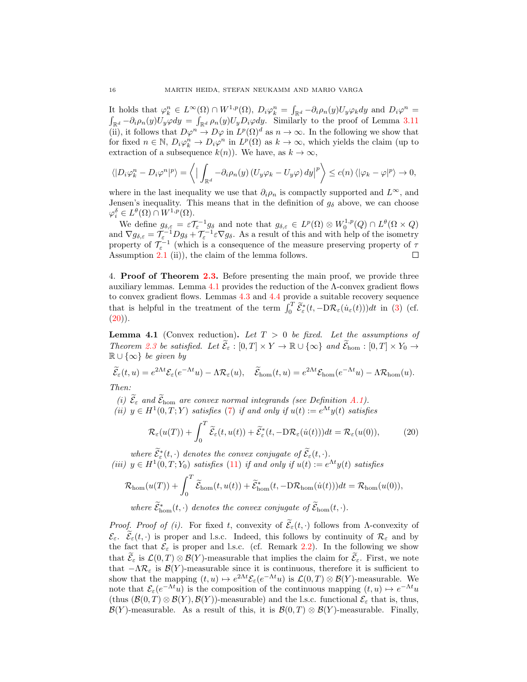It holds that  $\varphi_k^n \in L^{\infty}(\Omega) \cap W^{1,p}(\Omega)$ ,  $D_i \varphi_k^n = \int_{\mathbb{R}^d} -\partial_i \rho_n(y) U_y \varphi_k dy$  and  $D_i \varphi^n =$  $\int_{\mathbb{R}^d} -\partial_i \rho_n(y) U_y \varphi dy = \int_{\mathbb{R}^d} \rho_n(y) U_y D_i \varphi dy$ . Similarly to the proof of Lemma [3.11](#page-12-0) (ii), it follows that  $D\varphi^n \to D\varphi$  in  $L^p(\Omega)^d$  as  $n \to \infty$ . In the following we show that for fixed  $n \in \mathbb{N}$ ,  $D_i \varphi_k^n \to D_i \varphi^n$  in  $L^p(\Omega)$  as  $k \to \infty$ , which yields the claim (up to extraction of a subsequence  $k(n)$ ). We have, as  $k \to \infty$ ,

$$
\langle |D_i \varphi_k^n - D_i \varphi^n|^p \rangle = \langle | \int_{\mathbb{R}^d} -\partial_i \rho_n(y) (U_y \varphi_k - U_y \varphi) dy |^p \rangle \le c(n) \langle | \varphi_k - \varphi |^p \rangle \to 0,
$$

where in the last inequality we use that  $\partial_i \rho_n$  is compactly supported and  $L^{\infty}$ , and Jensen's inequality. This means that in the definition of  $g_{\delta}$  above, we can choose  $\varphi_i^{\delta} \in L^{\theta}(\Omega) \cap W^{1,p}(\Omega).$ 

We define  $g_{\delta,\varepsilon} = \varepsilon \mathcal{T}_{\varepsilon}^{-1} g_{\delta}$  and note that  $g_{\delta,\varepsilon} \in L^p(\Omega) \otimes W_0^{1,p}(Q) \cap L^{\theta}(\Omega \times Q)$ and  $\nabla g_{\delta,\varepsilon} = \mathcal{T}_{\varepsilon}^{-1} D g_{\delta} + \mathcal{T}_{\varepsilon}^{-1} \varepsilon \nabla g_{\delta}$ . As a result of this and with help of the isometry property of  $\mathcal{T}_{\varepsilon}^{-1}$  (which is a consequence of the measure preserving property of  $\tau$ Assumption [2.1](#page-4-1) (ii)), the claim of the lemma follows.  $\Box$ 

<span id="page-15-0"></span>4. Proof of Theorem [2.3.](#page-7-0) Before presenting the main proof, we provide three auxiliary lemmas. Lemma [4.1](#page-15-1) provides the reduction of the Λ-convex gradient flows to convex gradient flows. Lemmas [4.3](#page-16-0) and [4.4](#page-17-0) provide a suitable recovery sequence that is helpful in the treatment of the term  $\int_0^T \widetilde{\mathcal{E}}_{\varepsilon}^*(t, -D\mathcal{R}_{\varepsilon}(\dot{u}_{\varepsilon}(t)))dt$  in [\(3\)](#page-2-0) (cf.  $(20)$ .

<span id="page-15-1"></span>**Lemma 4.1** (Convex reduction). Let  $T > 0$  be fixed. Let the assumptions of Theorem [2.3](#page-7-0) be satisfied. Let  $\widetilde{\mathcal{E}}_{\varepsilon} : [0,T] \times Y \to \mathbb{R} \cup {\infty}$  and  $\widetilde{\mathcal{E}}_{\text{hom}} : [0,T] \times Y_0 \to$  $\mathbb{R} \cup \{\infty\}$  be given by

$$
\widetilde{\mathcal{E}}_{\varepsilon}(t,u) = e^{2\Lambda t} \mathcal{E}_{\varepsilon}(e^{-\Lambda t}u) - \Lambda \mathcal{R}_{\varepsilon}(u), \quad \widetilde{\mathcal{E}}_{\text{hom}}(t,u) = e^{2\Lambda t} \mathcal{E}_{\text{hom}}(e^{-\Lambda t}u) - \Lambda \mathcal{R}_{\text{hom}}(u).
$$

Then:

(i)  $\widetilde{\mathcal{E}}_{\varepsilon}$  and  $\widetilde{\mathcal{E}}_{\text{hom}}$  are convex normal integrands (see Definition [A.1\)](#page-22-1).

(ii)  $y \in H^1(0,T;Y)$  satisfies [\(7\)](#page-6-1) if and only if  $u(t) := e^{\Lambda t}y(t)$  satisfies

<span id="page-15-2"></span>
$$
\mathcal{R}_{\varepsilon}(u(T)) + \int_0^T \widetilde{\mathcal{E}}_{\varepsilon}(t, u(t)) + \widetilde{\mathcal{E}}_{\varepsilon}^*(t, -D\mathcal{R}_{\varepsilon}(\dot{u}(t)))dt = \mathcal{R}_{\varepsilon}(u(0)),\tag{20}
$$

where  $\widetilde{\mathcal{E}}_{\varepsilon}^*(t,\cdot)$  denotes the convex conjugate of  $\widetilde{\mathcal{E}}_{\varepsilon}(t,\cdot)$ . (iii)  $y \in H^1(0,T; Y_0)$  satisfies [\(11\)](#page-7-1) if and only if  $u(t) := e^{\Lambda t} y(t)$  satisfies

$$
\mathcal{R}_{\text{hom}}(u(T)) + \int_0^T \widetilde{\mathcal{E}}_{\text{hom}}(t,u(t)) + \widetilde{\mathcal{E}}_{\text{hom}}^*(t,-\mathrm{D} \mathcal{R}_{\text{hom}}(\dot{u}(t))) dt = \mathcal{R}_{\text{hom}}(u(0)),
$$

where  $\tilde{\mathcal{E}}_{\text{hom}}^*(t, \cdot)$  denotes the convex conjugate of  $\tilde{\mathcal{E}}_{\text{hom}}(t, \cdot)$ .

*Proof. Proof of (i).* For fixed t, convexity of  $\widetilde{\mathcal{E}}_{\varepsilon}(t, \cdot)$  follows from Λ-convexity of  $\mathcal{E}_{\varepsilon}$ .  $\widetilde{\mathcal{E}}_{\varepsilon}(t,\cdot)$  is proper and l.s.c. Indeed, this follows by continuity of  $\mathcal{R}_{\varepsilon}$  and by the fact that  $\mathcal{E}_{\varepsilon}$  is proper and l.s.c. (cf. Remark [2.2\)](#page-6-5). In the following we show that  $\mathcal{E}_{\varepsilon}$  is  $\mathcal{L}(0,T) \otimes \mathcal{B}(Y)$ -measurable that implies the claim for  $\mathcal{E}_{\varepsilon}$ . First, we note that  $-\Lambda\mathcal{R}_{\varepsilon}$  is  $\mathcal{B}(Y)$ -measurable since it is continuous, therefore it is sufficient to show that the mapping  $(t, u) \mapsto e^{2\Lambda t} \mathcal{E}_{\varepsilon}(e^{-\Lambda t} u)$  is  $\mathcal{L}(0, T) \otimes \mathcal{B}(Y)$ -measurable. We note that  $\mathcal{E}_{\varepsilon}(e^{-\Lambda t}u)$  is the composition of the continuous mapping  $(t, u) \mapsto e^{-\Lambda t}u$ (thus  $(\mathcal{B}(0,T) \otimes \mathcal{B}(Y), \mathcal{B}(Y))$ -measurable) and the l.s.c. functional  $\mathcal{E}_{\varepsilon}$  that is, thus,  $\mathcal{B}(Y)$ -measurable. As a result of this, it is  $\mathcal{B}(0,T) \otimes \mathcal{B}(Y)$ -measurable. Finally,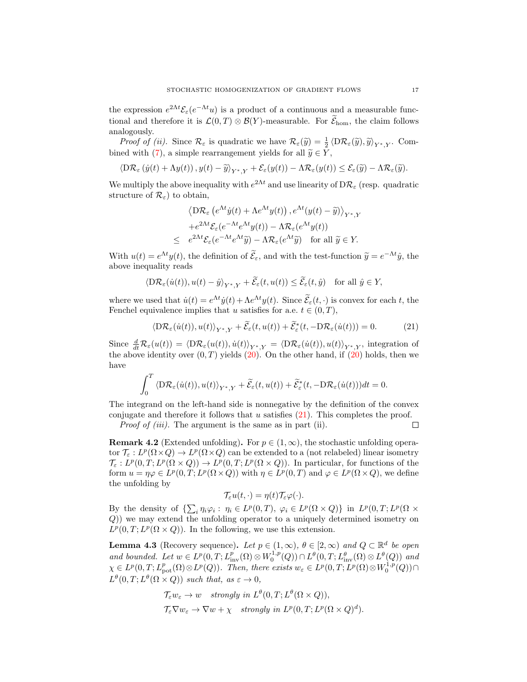the expression  $e^{2\Lambda t} \mathcal{E}_{\varepsilon} (e^{-\Lambda t} u)$  is a product of a continuous and a measurable functional and therefore it is  $\mathcal{L}(0,T) \otimes \mathcal{B}(Y)$ -measurable. For  $\mathcal{E}_{\text{hom}}$ , the claim follows analogously.

*Proof of (ii).* Since  $\mathcal{R}_{\varepsilon}$  is quadratic we have  $\mathcal{R}_{\varepsilon}(\widetilde{y}) = \frac{1}{2} \langle D\mathcal{R}_{\varepsilon}(\widetilde{y}), \widetilde{y} \rangle_{Y^*,Y}$ . Com-bined with [\(7\)](#page-6-1), a simple rearrangement yields for all  $\widetilde{y} \in Y$ ,

$$
\langle \mathcal{D}\mathcal{R}_{\varepsilon}\left(\dot{y}(t)+\Lambda y(t)\right), y(t)-\widetilde{y}\rangle_{Y^*,Y}+\mathcal{E}_{\varepsilon}(y(t))-\Lambda \mathcal{R}_{\varepsilon}(y(t))\leq \mathcal{E}_{\varepsilon}(\widetilde{y})-\Lambda \mathcal{R}_{\varepsilon}(\widetilde{y}).
$$

We multiply the above inequality with  $e^{2\Lambda t}$  and use linearity of  $D\mathcal{R}_{\varepsilon}$  (resp. quadratic structure of  $\mathcal{R}_{\varepsilon}$  to obtain,

$$
\langle \mathcal{D}\mathcal{R}_{\varepsilon} \left( e^{\Lambda t} \dot{y}(t) + \Lambda e^{\Lambda t} y(t) \right), e^{\Lambda t} (y(t) - \widetilde{y}) \rangle_{Y^*,Y}
$$

$$
+ e^{2\Lambda t} \mathcal{E}_{\varepsilon} (e^{-\Lambda t} e^{\Lambda t} y(t)) - \Lambda \mathcal{R}_{\varepsilon} (e^{\Lambda t} y(t))
$$

$$
\leq e^{2\Lambda t} \mathcal{E}_{\varepsilon} (e^{-\Lambda t} e^{\Lambda t} \widetilde{y}) - \Lambda \mathcal{R}_{\varepsilon} (e^{\Lambda t} \widetilde{y}) \quad \text{for all } \widetilde{y} \in Y.
$$

With  $u(t) = e^{\Lambda t} y(t)$ , the definition of  $\tilde{\mathcal{E}}_{\varepsilon}$ , and with the test-function  $\tilde{y} = e^{-\Lambda t} \hat{y}$ , the above inequality reads

$$
\langle \mathcal{D}\mathcal{R}_{\varepsilon}(\dot{u}(t)), u(t) - \hat{y} \rangle_{Y^*,Y} + \widetilde{\mathcal{E}}_{\varepsilon}(t, u(t)) \le \widetilde{\mathcal{E}}_{\varepsilon}(t, \hat{y}) \quad \text{for all } \hat{y} \in Y,
$$

where we used that  $\dot{u}(t) = e^{\Lambda t} \dot{y}(t) + \Lambda e^{\Lambda t} y(t)$ . Since  $\tilde{\mathcal{E}}_{\varepsilon}(t, \cdot)$  is convex for each t, the Fenchel equivalence implies that u satisfies for a.e.  $t \in (0, T)$ ,

<span id="page-16-1"></span>
$$
\langle \mathcal{D}\mathcal{R}_{\varepsilon}(\dot{u}(t)), u(t) \rangle_{Y^*,Y} + \widetilde{\mathcal{E}}_{\varepsilon}(t, u(t)) + \widetilde{\mathcal{E}}_{\varepsilon}^*(t, -\mathcal{D}\mathcal{R}_{\varepsilon}(\dot{u}(t))) = 0. \tag{21}
$$

Since  $\frac{d}{dt}R_{\varepsilon}(u(t)) = \langle DR_{\varepsilon}(u(t)), \dot{u}(t)\rangle_{Y^*,Y} = \langle DR_{\varepsilon}(\dot{u}(t)), u(t)\rangle_{Y^*,Y}$ , integration of the above identity over  $(0, T)$  yields  $(20)$ . On the other hand, if  $(20)$  holds, then we have

$$
\int_0^T \langle \mathrm{D} \mathcal{R}_\varepsilon(\dot{u}(t)), u(t) \rangle_{Y^*,Y} + \widetilde{\mathcal{E}}_\varepsilon(t, u(t)) + \widetilde{\mathcal{E}}_\varepsilon^*(t, -\mathrm{D} \mathcal{R}_\varepsilon(\dot{u}(t))) dt = 0.
$$

The integrand on the left-hand side is nonnegative by the definition of the convex conjugate and therefore it follows that  $u$  satisfies  $(21)$ . This completes the proof.

Proof of *(iii)*. The argument is the same as in part *(ii)*.

 $\Box$ 

**Remark 4.2** (Extended unfolding). For  $p \in (1,\infty)$ , the stochastic unfolding operator  $\mathcal{T}_{\varepsilon}: L^p(\Omega \times Q) \to L^p(\Omega \times Q)$  can be extended to a (not relabeled) linear isometry  $\mathcal{T}_{\varepsilon}: L^p(0,T; L^p(\Omega \times Q)) \to L^p(0,T; L^p(\Omega \times Q)).$  In particular, for functions of the form  $u = \eta \varphi \in L^p(0,T; L^p(\Omega \times Q))$  with  $\eta \in L^p(0,T)$  and  $\varphi \in L^p(\Omega \times Q)$ , we define the unfolding by

$$
\mathcal{T}_{\varepsilon}u(t,\cdot)=\eta(t)\mathcal{T}_{\varepsilon}\varphi(\cdot).
$$

By the density of  $\{\sum_i \eta_i \varphi_i : \eta_i \in L^p(0,T), \varphi_i \in L^p(\Omega \times Q)\}\$ in  $L^p(0,T; L^p(\Omega \times$ Q)) we may extend the unfolding operator to a uniquely determined isometry on  $L^p(0,T; L^p(\Omega \times Q))$ . In the following, we use this extension.

<span id="page-16-0"></span>**Lemma 4.3** (Recovery sequence). Let  $p \in (1,\infty)$ ,  $\theta \in [2,\infty)$  and  $Q \subset \mathbb{R}^d$  be open and bounded. Let  $w \in L^p(0,T; L^p_{inv}(\Omega) \otimes W_0^{1,p}(Q)) \cap L^{\theta}(0,T; L^{\theta}_{inv}(\Omega) \otimes L^{\theta}(Q))$  and  $\chi \in L^p(0,T; L^p_{\text{pot}}(\Omega)\otimes L^p(Q))$ . Then, there exists  $w_{\varepsilon} \in L^p(0,T; L^p(\Omega)\otimes W_0^{1,p}(Q))\cap$  $L^{\theta}(0,T; L^{\theta}(\Omega \times Q))$  such that, as  $\varepsilon \to 0$ ,

$$
\mathcal{T}_{\varepsilon} w_{\varepsilon} \to w \quad strongly \ in \ L^{\theta}(0,T; L^{\theta}(\Omega \times Q)),
$$
  

$$
\mathcal{T}_{\varepsilon} \nabla w_{\varepsilon} \to \nabla w + \chi \quad strongly \ in \ L^{p}(0,T; L^{p}(\Omega \times Q)^{d}).
$$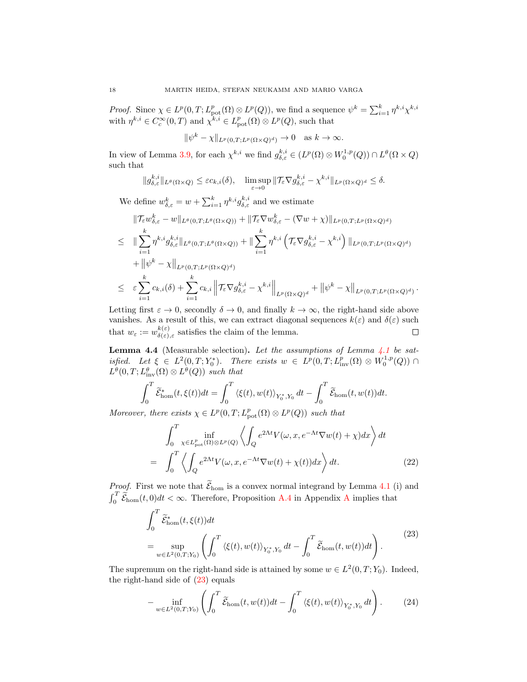*Proof.* Since  $\chi \in L^p(0,T; L^p_{pot}(\Omega) \otimes L^p(Q))$ , we find a sequence  $\psi^k = \sum_{i=1}^k \eta^{k,i} \chi^{k,i}$ with  $\eta^{k,i} \in C_c^{\infty}(0,T)$  and  $\chi^{k,i} \in L_{\text{pot}}^p(\Omega) \otimes L^p(Q)$ , such that

$$
\|\psi^k - \chi\|_{L^p(0,T;L^p(\Omega \times Q)^d)} \to 0 \quad \text{as } k \to \infty.
$$

In view of Lemma [3.9,](#page-10-4) for each  $\chi^{k,i}$  we find  $g_{\delta,\varepsilon}^{k,i} \in (L^p(\Omega)\otimes W_0^{1,p}(Q))\cap L^{\theta}(\Omega\times Q)$ such that

$$
||g_{\delta,\varepsilon}^{k,i}||_{L^{\theta}(\Omega\times Q)} \leq \varepsilon c_{k,i}(\delta), \quad \limsup_{\varepsilon\to 0} ||\mathcal{T}_{\varepsilon}\nabla g_{\delta,\varepsilon}^{k,i} - \chi^{k,i}||_{L^{p}(\Omega\times Q)^{d}} \leq \delta.
$$

We define  $w_{\delta,\varepsilon}^k = w + \sum_{i=1}^k \eta^{k,i} g_{\delta,\varepsilon}^{k,i}$  and we estimate

$$
\|\mathcal{T}_{\varepsilon}w_{\delta,\varepsilon}^{k}-w\|_{L^{\theta}(0,T;L^{\theta}(\Omega\times Q))}+\|\mathcal{T}_{\varepsilon}\nabla w_{\delta,\varepsilon}^{k}-(\nabla w+\chi)\|_{L^{p}(0,T;L^{p}(\Omega\times Q)^{d})}
$$
\n
$$
\leq \|\sum_{i=1}^{k}\eta^{k,i}g_{\delta,\varepsilon}^{k,i}\|_{L^{\theta}(0,T;L^{\theta}(\Omega\times Q))}+\|\sum_{i=1}^{k}\eta^{k,i}\left(\mathcal{T}_{\varepsilon}\nabla g_{\delta,\varepsilon}^{k,i}-\chi^{k,i}\right)\|_{L^{p}(0,T;L^{p}(\Omega\times Q)^{d})}
$$
\n
$$
+\|\psi^{k}-\chi\|_{L^{p}(0,T;L^{p}(\Omega\times Q)^{d})}
$$
\n
$$
\leq \varepsilon\sum_{i=1}^{k}c_{k,i}(\delta)+\sum_{i=1}^{k}c_{k,i}\left\|\mathcal{T}_{\varepsilon}\nabla g_{\delta,\varepsilon}^{k,i}-\chi^{k,i}\right\|_{L^{p}(\Omega\times Q)^{d}}+\|\psi^{k}-\chi\|_{L^{p}(0,T;L^{p}(\Omega\times Q)^{d})}
$$

.

Letting first  $\varepsilon \to 0$ , secondly  $\delta \to 0$ , and finally  $k \to \infty$ , the right-hand side above vanishes. As a result of this, we can extract diagonal sequences  $k(\varepsilon)$  and  $\delta(\varepsilon)$  such that  $w_{\varepsilon} := w_{\delta(\varepsilon)}^{k(\varepsilon)}$  $\Box$  $\frac{\kappa(\varepsilon)}{\delta(\varepsilon),\varepsilon}$  satisfies the claim of the lemma.

<span id="page-17-0"></span>**Lemma 4.4** (Measurable selection). Let the assumptions of Lemma  $4.1$  be satisfied. Let  $\xi \in L^2(0,T;Y_0^*)$ . There exists  $w \in L^p(0,T;L^p_{inv}(\Omega) \otimes W_0^{1,p}(Q))$  $L^{\theta}(0,T; L^{\theta}_{\text{inv}}(\Omega) \otimes L^{\theta}(Q))$  such that

$$
\int_0^T \widetilde{\mathcal{E}}_{\text{hom}}^*(t,\xi(t))dt = \int_0^T \langle \xi(t), w(t) \rangle_{Y_0^*,Y_0} dt - \int_0^T \widetilde{\mathcal{E}}_{\text{hom}}(t,w(t))dt.
$$

Moreover, there exists  $\chi \in L^p(0,T; L^p_{pot}(\Omega) \otimes L^p(Q))$  such that

<span id="page-17-3"></span>
$$
\int_{0}^{T} \inf_{\chi \in L_{\text{pot}}^{p}(\Omega) \otimes L^{p}(Q)} \left\langle \int_{Q} e^{2\Lambda t} V(\omega, x, e^{-\Lambda t} \nabla w(t) + \chi) dx \right\rangle dt
$$
\n
$$
= \int_{0}^{T} \left\langle \int_{Q} e^{2\Lambda t} V(\omega, x, e^{-\Lambda t} \nabla w(t) + \chi(t)) dx \right\rangle dt. \tag{22}
$$

*Proof.* First we note that  $\widetilde{\mathcal{E}}_{\text{hom}}$  is a convex normal integrand by Lemma [4.1](#page-15-1) (i) and  $\int_0^T \widetilde{\mathcal{E}}_{\text{hom}}(t,0)dt < \infty$ . Therefore, Proposition [A.4](#page-23-2) in [A](#page-22-0)ppendix A implies that

<span id="page-17-1"></span>
$$
\int_0^T \widetilde{\mathcal{E}}_{\text{hom}}^*(t,\xi(t))dt
$$
\n
$$
= \sup_{w \in L^2(0,T;Y_0)} \left( \int_0^T \langle \xi(t), w(t) \rangle_{Y_0^*,Y_0} dt - \int_0^T \widetilde{\mathcal{E}}_{\text{hom}}(t, w(t))dt \right). \tag{23}
$$

The supremum on the right-hand side is attained by some  $w \in L^2(0,T;Y_0)$ . Indeed, the right-hand side of [\(23\)](#page-17-1) equals

<span id="page-17-2"></span>
$$
-\inf_{w\in L^2(0,T;Y_0)} \left(\int_0^T \widetilde{\mathcal{E}}_{\text{hom}}(t,w(t))dt - \int_0^T \langle \xi(t), w(t) \rangle_{Y_0^*,Y_0} dt\right).
$$
 (24)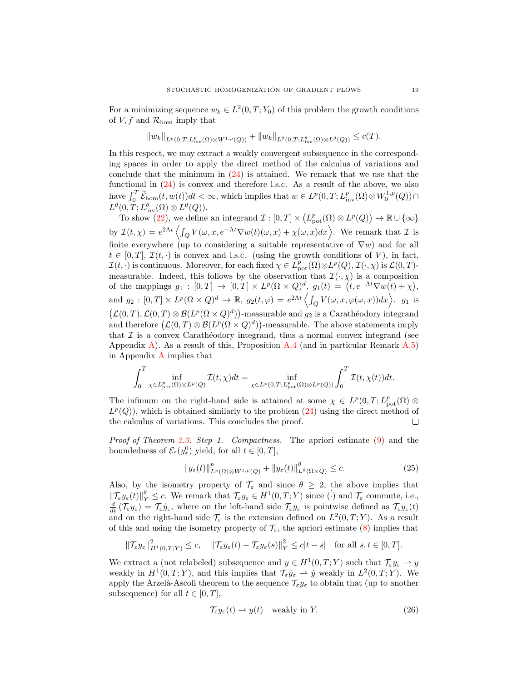For a minimizing sequence  $w_k \in L^2(0,T;Y_0)$  of this problem the growth conditions of V, f and  $\mathcal{R}_{\text{hom}}$  imply that

$$
||w_k||_{L^p(0,T;L^p_{\text{inv}}(\Omega)\otimes W^{1,p}(Q))} + ||w_k||_{L^{\theta}(0,T;L^{\theta}_{\text{inv}}(\Omega)\otimes L^{\theta}(Q))} \leq c(T).
$$

In this respect, we may extract a weakly convergent subsequence in the corresponding spaces in order to apply the direct method of the calculus of variations and conclude that the minimum in [\(24\)](#page-17-2) is attained. We remark that we use that the functional in [\(24\)](#page-17-2) is convex and therefore l.s.c. As a result of the above, we also have  $\int_0^T \widetilde{\mathcal{E}}_{\text{hom}}(t, w(t))dt < \infty$ , which implies that  $w \in L^p(0,T; L^p_{\text{inv}}(\Omega) \otimes W_0^{1,p}(Q)) \cap$  $L^{\theta}(0,T;L^{\theta}_{\text{inv}}(\Omega)\otimes L^{\theta}(Q)).$ 

To show [\(22\)](#page-17-3), we define an integrand  $\mathcal{I}: [0,T] \times (L^p_{\text{pot}}(\Omega) \otimes L^p(Q)) \to \mathbb{R} \cup \{\infty\}$ by  $\mathcal{I}(t,\chi) = e^{2\Lambda t} \left\langle \int_Q V(\omega, x, e^{-\Lambda t} \nabla w(t)(\omega, x) + \chi(\omega, x) dx \right\rangle$ . We remark that  $\mathcal{I}$  is finite everywhere (up to considering a suitable representative of  $\nabla w$ ) and for all  $t \in [0, T], \mathcal{I}(t, \cdot)$  is convex and l.s.c. (using the growth conditions of V), in fact,  $\mathcal{I}(t, \cdot)$  is continuous. Moreover, for each fixed  $\chi \in L^p_{\text{pot}}(\Omega) \otimes L^p(Q), \mathcal{I}(\cdot, \chi)$  is  $\mathcal{L}(0, T)$ measurable. Indeed, this follows by the observation that  $\mathcal{I}(\cdot,\chi)$  is a composition of the mappings  $g_1 : [0,T] \to [0,T] \times L^p(\Omega \times Q)^d$ ,  $g_1(t) = (t, e^{-\Lambda t} \nabla w(t) + \chi)$ , and  $g_2: [0,T] \times L^p(\Omega \times Q)^d \to \mathbb{R}$ ,  $g_2(t,\varphi) = e^{2\Lambda t} \left\langle \int_Q V(\omega, x, \varphi(\omega, x)) dx \right\rangle$ .  $g_1$  is  $(\mathcal{L}(0,T), \mathcal{L}(0,T) \otimes \mathcal{B}(L^p(\Omega \times Q)^d))$ -measurable and  $g_2$  is a Carathéodory integrand and therefore  $(\mathcal{L}(0,T) \otimes \mathcal{B}(L^p(\Omega \times Q)^d))$ -measurable. The above statements imply that  $\mathcal I$  is a convex Carathéodory integrand, thus a normal convex integrand (see Appendix [A\)](#page-22-0). As a result of this, Proposition [A.4](#page-23-2) (and in particular Remark  $A.5$ ) in Appendix [A](#page-22-0) implies that

$$
\int_0^T \inf_{\chi \in L^p_{\text{pot}}(\Omega) \otimes L^p(Q)} \mathcal{I}(t,\chi) dt = \inf_{\chi \in L^p(0,T;L^p_{\text{pot}}(\Omega) \otimes L^p(Q))} \int_0^T \mathcal{I}(t,\chi(t)) dt.
$$

The infimum on the right-hand side is attained at some  $\chi \in L^p(0,T; L^p_{pot}(\Omega) \otimes$  $L^p(Q)$ , which is obtained similarly to the problem  $(24)$  using the direct method of the calculus of variations. This concludes the proof. □

Proof of Theorem [2.3.](#page-7-0) Step 1. Compactness. The apriori estimate [\(9\)](#page-6-6) and the boundedness of  $\mathcal{E}_{\varepsilon}(y_{\varepsilon}^0)$  yield, for all  $t \in [0, T]$ ,

<span id="page-18-0"></span>
$$
||y_{\varepsilon}(t)||_{L^{p}(\Omega)\otimes W^{1,p}(Q)}^{p} + ||y_{\varepsilon}(t)||_{L^{\theta}(\Omega\times Q)}^{\theta} \leq c.
$$
\n(25)

Also, by the isometry property of  $\mathcal{T}_{\varepsilon}$  and since  $\theta \geq 2$ , the above implies that  $\|\mathcal{T}_{\varepsilon}y_{\varepsilon}(t)\|_{Y}^{\theta} \leq c.$  We remark that  $\mathcal{T}_{\varepsilon}y_{\varepsilon} \in H^1(0,T;Y)$  since  $(\cdot)$  and  $\mathcal{T}_{\varepsilon}$  commute, i.e.,  $\frac{d}{dt}(\mathcal{T}_{\varepsilon}y_{\varepsilon})=\mathcal{T}_{\varepsilon}\dot{y}_{\varepsilon}$ , where on the left-hand side  $\mathcal{T}_{\varepsilon}y_{\varepsilon}$  is pointwise defined as  $\mathcal{T}_{\varepsilon}y_{\varepsilon}(t)$ and on the right-hand side  $\mathcal{T}_{\varepsilon}$  is the extension defined on  $L^2(0,T;Y)$ . As a result of this and using the isometry property of  $\mathcal{T}_{\varepsilon}$ , the apriori estimate [\(8\)](#page-6-2) implies that

$$
\|\mathcal{T}_{\varepsilon}y_{\varepsilon}\|_{H^1(0,T;Y)}^2 \leq c, \quad \|\mathcal{T}_{\varepsilon}y_{\varepsilon}(t) - \mathcal{T}_{\varepsilon}y_{\varepsilon}(s)\|_{Y}^2 \leq c|t-s| \quad \text{for all } s,t \in [0,T].
$$

We extract a (not relabeled) subsequence and  $y \in H^1(0,T;Y)$  such that  $\mathcal{T}_{\varepsilon} y_{\varepsilon} \to y$ weakly in  $H^1(0,T;Y)$ , and this implies that  $\mathcal{T}_{\varepsilon}\dot{y}_{\varepsilon} \rightharpoonup \dot{y}$  weakly in  $L^2(0,T;Y)$ . We apply the Arzelà-Ascoli theorem to the sequence  $\mathcal{T}_{\varepsilon}y_{\varepsilon}$  to obtain that (up to another subsequence) for all  $t \in [0, T]$ ,

<span id="page-18-1"></span>
$$
\mathcal{T}_{\varepsilon} y_{\varepsilon}(t) \rightharpoonup y(t) \quad \text{weakly in } Y. \tag{26}
$$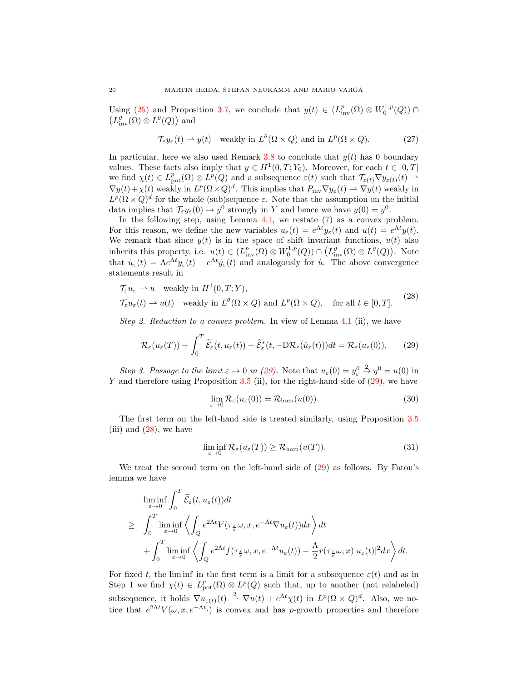Using [\(25\)](#page-18-0) and Proposition [3.7,](#page-10-2) we conclude that  $y(t) \in (L^p_{\text{inv}}(\Omega) \otimes W_0^{1,p}(Q))$  $\left(L_{\text{inv}}^{\theta}(\Omega) \otimes L^{\theta}(Q)\right)$  and

<span id="page-19-4"></span>
$$
\mathcal{T}_{\varepsilon} y_{\varepsilon}(t) \rightharpoonup y(t) \quad \text{weakly in } L^{\theta}(\Omega \times Q) \text{ and in } L^{p}(\Omega \times Q). \tag{27}
$$

In particular, here we also used Remark [3.8](#page-10-5) to conclude that  $y(t)$  has 0 boundary values. These facts also imply that  $y \in H^1(0,T; Y_0)$ . Moreover, for each  $t \in [0,T]$ we find  $\chi(t) \in L^p_{\text{pot}}(\Omega) \otimes L^p(Q)$  and a subsequence  $\varepsilon(t)$  such that  $\mathcal{T}_{\varepsilon(t)} \nabla y_{\varepsilon(t)}(t) \to$  $\nabla y(t) + \chi(t)$  weakly in  $L^p(\Omega \times Q)^d$ . This implies that  $P_{\text{inv}} \nabla y_\varepsilon(t) \rightharpoonup \nabla y(t)$  weakly in  $L^p(\Omega \times Q)^d$  for the whole (sub)sequence  $\varepsilon$ . Note that the assumption on the initial data implies that  $\mathcal{T}_{\varepsilon}y_{\varepsilon}(0) \to y^0$  strongly in Y and hence we have  $y(0) = y^0$ .

In the following step, using Lemma  $4.1$ , we restate  $(7)$  as a convex problem. For this reason, we define the new variables  $u_{\varepsilon}(t) = e^{\Lambda t} y_{\varepsilon}(t)$  and  $u(t) = e^{\Lambda t} y(t)$ . We remark that since  $y(t)$  is in the space of shift invariant functions,  $u(t)$  also inherits this property, i.e.  $u(t) \in (L^p_{inv}(\Omega) \otimes W_0^{1,p}(Q)) \cap (L^{\theta}_{inv}(\Omega) \otimes L^{\theta}(Q)).$  Note that  $\dot{u}_{\varepsilon}(t) = \Lambda e^{\Lambda t} y_{\varepsilon}(t) + e^{\Lambda t} \dot{y}_{\varepsilon}(t)$  and analogously for  $\dot{u}$ . The above convergence statements result in

$$
\mathcal{T}_{\varepsilon} u_{\varepsilon} \rightharpoonup u \quad \text{weakly in } H^{1}(0, T; Y),
$$
  

$$
\mathcal{T}_{\varepsilon} u_{\varepsilon}(t) \rightharpoonup u(t) \quad \text{weakly in } L^{\theta}(\Omega \times Q) \text{ and } L^{p}(\Omega \times Q), \quad \text{for all } t \in [0, T].
$$
 (28)

Step 2. Reduction to a convex problem. In view of Lemma [4.1](#page-15-1) (ii), we have

<span id="page-19-0"></span>
$$
\mathcal{R}_{\varepsilon}(u_{\varepsilon}(T)) + \int_{0}^{T} \widetilde{\mathcal{E}}_{\varepsilon}(t, u_{\varepsilon}(t)) + \widetilde{\mathcal{E}}_{\varepsilon}^{*}(t, -D\mathcal{R}_{\varepsilon}(\dot{u}_{\varepsilon}(t)))dt = \mathcal{R}_{\varepsilon}(u_{\varepsilon}(0)).
$$
 (29)

Step 3. Passage to the limit  $\varepsilon \to 0$  in [\(29\)](#page-19-0). Note that  $u_{\varepsilon}(0) = y_{\varepsilon}^0$  $\stackrel{2}{\rightarrow} y^0 = u(0)$  in Y and therefore using Proposition [3.5](#page-9-1) (ii), for the right-hand side of  $(29)$ , we have

<span id="page-19-2"></span><span id="page-19-1"></span>
$$
\lim_{\varepsilon \to 0} \mathcal{R}_{\varepsilon}(u_{\varepsilon}(0)) = \mathcal{R}_{\text{hom}}(u(0)). \tag{30}
$$

The first term on the left-hand side is treated similarly, using Proposition [3.5](#page-9-1) (iii) and  $(28)$ , we have

<span id="page-19-3"></span>
$$
\liminf_{\varepsilon \to 0} \mathcal{R}_{\varepsilon}(u_{\varepsilon}(T)) \ge \mathcal{R}_{\text{hom}}(u(T)). \tag{31}
$$

We treat the second term on the left-hand side of [\(29\)](#page-19-0) as follows. By Fatou's lemma we have

$$
\liminf_{\varepsilon \to 0} \int_0^T \widetilde{\mathcal{E}}_{\varepsilon}(t, u_{\varepsilon}(t)) dt
$$
\n
$$
\geq \int_0^T \liminf_{\varepsilon \to 0} \left\langle \int_Q e^{2\Lambda t} V(\tau_{\frac{x}{\varepsilon}} \omega, x, e^{-\Lambda t} \nabla u_{\varepsilon}(t)) dx \right\rangle dt
$$
\n
$$
+ \int_0^T \liminf_{\varepsilon \to 0} \left\langle \int_Q e^{2\Lambda t} f(\tau_{\frac{x}{\varepsilon}} \omega, x, e^{-\Lambda t} u_{\varepsilon}(t)) - \frac{\Lambda}{2} r(\tau_{\frac{x}{\varepsilon}} \omega, x) |u_{\varepsilon}(t)|^2 dx \right\rangle dt.
$$

For fixed t, the limin in the first term is a limit for a subsequence  $\varepsilon(t)$  and as in Step 1 we find  $\chi(t) \in L^p_{\text{pot}}(\Omega) \otimes L^p(Q)$  such that, up to another (not relabeled) subsequence, it holds  $\nabla u_{\varepsilon(t)}(t) \stackrel{2}{\rightharpoonup} \nabla u(t) + e^{\Lambda t} \chi(t)$  in  $L^p(\Omega \times Q)^d$ . Also, we notice that  $e^{2\Lambda t}V(\omega, x, e^{-\Lambda t})$  is convex and has p-growth properties and therefore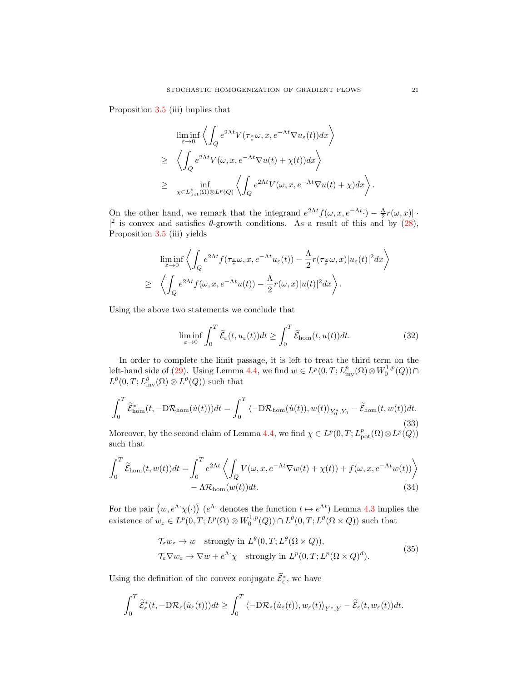Proposition [3.5](#page-9-1) (iii) implies that

$$
\liminf_{\varepsilon \to 0} \left\langle \int_Q e^{2\Lambda t} V(\tau_{\frac{x}{\varepsilon}} \omega, x, e^{-\Lambda t} \nabla u_{\varepsilon}(t)) dx \right\rangle
$$
\n
$$
\geq \left\langle \int_Q e^{2\Lambda t} V(\omega, x, e^{-\Lambda t} \nabla u(t) + \chi(t)) dx \right\rangle
$$
\n
$$
\geq \inf_{\chi \in L^p_{pot}(\Omega) \otimes L^p(Q)} \left\langle \int_Q e^{2\Lambda t} V(\omega, x, e^{-\Lambda t} \nabla u(t) + \chi) dx \right\rangle
$$

On the other hand, we remark that the integrand  $e^{2\Lambda t} f(\omega, x, e^{-\Lambda t}) - \frac{\Lambda}{2} r(\omega, x)$ . |<sup>2</sup> is convex and satisfies  $\theta$ -growth conditions. As a result of this and by [\(28\)](#page-19-1), Proposition [3.5](#page-9-1) (iii) yields

$$
\liminf_{\varepsilon \to 0} \left\langle \int_Q e^{2\Lambda t} f(\tau_{\frac{x}{\varepsilon}} \omega, x, e^{-\Lambda t} u_\varepsilon(t)) - \frac{\Lambda}{2} r(\tau_{\frac{x}{\varepsilon}} \omega, x) |u_\varepsilon(t)|^2 dx \right\rangle
$$
  
\n
$$
\geq \left\langle \int_Q e^{2\Lambda t} f(\omega, x, e^{-\Lambda t} u(t)) - \frac{\Lambda}{2} r(\omega, x) |u(t)|^2 dx \right\rangle.
$$

Using the above two statements we conclude that

<span id="page-20-3"></span>
$$
\liminf_{\varepsilon \to 0} \int_0^T \widetilde{\mathcal{E}}_{\varepsilon}(t, u_{\varepsilon}(t)) dt \ge \int_0^T \widetilde{\mathcal{E}}_{\text{hom}}(t, u(t)) dt.
$$
 (32)

In order to complete the limit passage, it is left to treat the third term on the left-hand side of [\(29\)](#page-19-0). Using Lemma [4.4,](#page-17-0) we find  $w \in L^p(0,T; L^p_{\text{inv}}(\Omega) \otimes W_0^{1,p}(Q)) \cap$  $L^{\theta}(0,T; L^{\theta}_{\text{inv}}(\Omega) \otimes L^{\theta}(Q))$  such that

<span id="page-20-2"></span>
$$
\int_0^T \widetilde{\mathcal{E}}_{\text{hom}}^*(t, -D\mathcal{R}_{\text{hom}}(\dot{u}(t)))dt = \int_0^T \langle -D\mathcal{R}_{\text{hom}}(\dot{u}(t)), w(t) \rangle_{Y_0^*, Y_0} - \widetilde{\mathcal{E}}_{\text{hom}}(t, w(t))dt.
$$
\n(33)

Moreover, by the second claim of Lemma [4.4,](#page-17-0) we find  $\chi \in L^p(0,T; L^p_{pot}(\Omega) \otimes L^p(Q))$ such that

$$
\int_0^T \widetilde{\mathcal{E}}_{\text{hom}}(t, w(t))dt = \int_0^T e^{2\Lambda t} \left\langle \int_Q V(\omega, x, e^{-\Lambda t} \nabla w(t) + \chi(t)) + f(\omega, x, e^{-\Lambda t} w(t)) \right\rangle - \Lambda \mathcal{R}_{\text{hom}}(w(t))dt.
$$
\n(34)

For the pair  $(w, e^{\Lambda} \chi(\cdot))$   $(e^{\Lambda} \cdot$  denotes the function  $t \mapsto e^{\Lambda t}$ ) Lemma [4.3](#page-16-0) implies the existence of  $w_{\varepsilon} \in L^p(0,T; L^p(\Omega) \otimes W_0^{1,p}(Q)) \cap L^{\theta}(0,T; L^{\theta}(\Omega \times Q))$  such that

<span id="page-20-1"></span><span id="page-20-0"></span>
$$
\mathcal{T}_{\varepsilon} w_{\varepsilon} \to w \quad \text{strongly in } L^{\theta}(0, T; L^{\theta}(\Omega \times Q)), \n\mathcal{T}_{\varepsilon} \nabla w_{\varepsilon} \to \nabla w + e^{\Lambda} \chi \quad \text{strongly in } L^{p}(0, T; L^{p}(\Omega \times Q)^{d}).
$$
\n(35)

Using the definition of the convex conjugate  $\widetilde{\mathcal{E}}_{\varepsilon}^*$ , we have

$$
\int_0^T \widetilde{\mathcal{E}}^*_{\varepsilon}(t, -D\mathcal{R}_{\varepsilon}(\dot{u}_{\varepsilon}(t)))dt \geq \int_0^T \langle -D\mathcal{R}_{\varepsilon}(\dot{u}_{\varepsilon}(t)), w_{\varepsilon}(t) \rangle_{Y^*,Y} - \widetilde{\mathcal{E}}_{\varepsilon}(t, w_{\varepsilon}(t))dt.
$$

.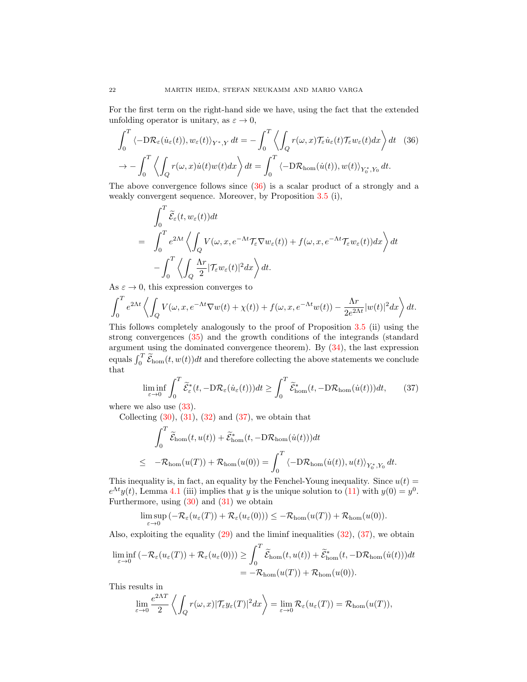For the first term on the right-hand side we have, using the fact that the extended unfolding operator is unitary, as  $\varepsilon \to 0$ ,

$$
\int_0^T \langle -D\mathcal{R}_{\varepsilon}(\dot{u}_{\varepsilon}(t)), w_{\varepsilon}(t) \rangle_{Y^*,Y} dt = -\int_0^T \left\langle \int_Q r(\omega, x) \mathcal{T}_{\varepsilon} \dot{u}_{\varepsilon}(t) \mathcal{T}_{\varepsilon} w_{\varepsilon}(t) dx \right\rangle dt \quad (36)
$$

$$
\to -\int_0^T \left\langle \int_Q r(\omega, x) \dot{u}(t) w(t) dx \right\rangle dt = \int_0^T \left\langle -D\mathcal{R}_{\text{hom}}(\dot{u}(t)), w(t) \right\rangle_{Y_0^*,Y_0} dt.
$$

The above convergence follows since [\(36\)](#page-21-0) is a scalar product of a strongly and a weakly convergent sequence. Moreover, by Proposition [3.5](#page-9-1) (i),

<span id="page-21-0"></span>
$$
\int_0^T \widetilde{\mathcal{E}}_{\varepsilon}(t, w_{\varepsilon}(t)) dt
$$
\n
$$
= \int_0^T e^{2\Lambda t} \left\langle \int_Q V(\omega, x, e^{-\Lambda t} \mathcal{T}_{\varepsilon} \nabla w_{\varepsilon}(t)) + f(\omega, x, e^{-\Lambda t} \mathcal{T}_{\varepsilon} w_{\varepsilon}(t)) dx \right\rangle dt
$$
\n
$$
- \int_0^T \left\langle \int_Q \frac{\Lambda r}{2} |\mathcal{T}_{\varepsilon} w_{\varepsilon}(t)|^2 dx \right\rangle dt.
$$

As  $\varepsilon \to 0$ , this expression converges to

$$
\int_0^T e^{2\Lambda t} \left\langle \int_Q V(\omega, x, e^{-\Lambda t} \nabla w(t) + \chi(t)) + f(\omega, x, e^{-\Lambda t} w(t)) - \frac{\Lambda r}{2e^{2\Lambda t}} |w(t)|^2 dx \right\rangle dt.
$$

This follows completely analogously to the proof of Proposition [3.5](#page-9-1) (ii) using the strong convergences [\(35\)](#page-20-0) and the growth conditions of the integrands (standard argument using the dominated convergence theorem). By [\(34\)](#page-20-1), the last expression equals  $\int_0^T \widetilde{\mathcal{E}}_{\text{hom}}(t, w(t))dt$  and therefore collecting the above statements we conclude that

<span id="page-21-1"></span>
$$
\liminf_{\varepsilon \to 0} \int_0^T \widetilde{\mathcal{E}}_{\varepsilon}^*(t, -D\mathcal{R}_{\varepsilon}(\dot{u}_{\varepsilon}(t)))dt \ge \int_0^T \widetilde{\mathcal{E}}_{\text{hom}}^*(t, -D\mathcal{R}_{\text{hom}}(\dot{u}(t)))dt, \qquad (37)
$$

where we also use  $(33)$ .

Collecting  $(30)$ ,  $(31)$ ,  $(32)$  and  $(37)$ , we obtain that

$$
\int_0^T \widetilde{\mathcal{E}}_{\text{hom}}(t, u(t)) + \widetilde{\mathcal{E}}_{\text{hom}}^*(t, -D\mathcal{R}_{\text{hom}}(\dot{u}(t)))dt
$$
\n
$$
\leq -\mathcal{R}_{\text{hom}}(u(T)) + \mathcal{R}_{\text{hom}}(u(0)) = \int_0^T \langle -D\mathcal{R}_{\text{hom}}(\dot{u}(t)), u(t) \rangle_{Y_0^*, Y_0} dt.
$$

This inequality is, in fact, an equality by the Fenchel-Young inequality. Since  $u(t) =$  $e^{\Lambda t}y(t)$ , Lemma [4.1](#page-15-1) (iii) implies that y is the unique solution to [\(11\)](#page-7-1) with  $y(0) = y^0$ . Furthermore, using  $(30)$  and  $(31)$  we obtain

$$
\limsup_{\varepsilon \to 0} \left( -\mathcal{R}_{\varepsilon}(u_{\varepsilon}(T)) + \mathcal{R}_{\varepsilon}(u_{\varepsilon}(0)) \right) \leq -\mathcal{R}_{\text{hom}}(u(T)) + \mathcal{R}_{\text{hom}}(u(0)).
$$

Also, exploiting the equality [\(29\)](#page-19-0) and the liminf inequalities [\(32\)](#page-20-3), [\(37\)](#page-21-1), we obtain

$$
\liminf_{\varepsilon \to 0} \left( -\mathcal{R}_{\varepsilon}(u_{\varepsilon}(T)) + \mathcal{R}_{\varepsilon}(u_{\varepsilon}(0)) \right) \ge \int_{0}^{T} \widetilde{\mathcal{E}}_{\text{hom}}(t, u(t)) + \widetilde{\mathcal{E}}_{\text{hom}}^{*}(t, -D\mathcal{R}_{\text{hom}}(\dot{u}(t)))dt
$$
  
= -\mathcal{R}\_{\text{hom}}(u(T)) + \mathcal{R}\_{\text{hom}}(u(0)).

This results in

$$
\lim_{\varepsilon \to 0} \frac{e^{2\Lambda T}}{2} \left\langle \int_Q r(\omega, x) |\mathcal{T}_{\varepsilon} y_{\varepsilon}(T)|^2 dx \right\rangle = \lim_{\varepsilon \to 0} \mathcal{R}_{\varepsilon}(u_{\varepsilon}(T)) = \mathcal{R}_{\text{hom}}(u(T)),
$$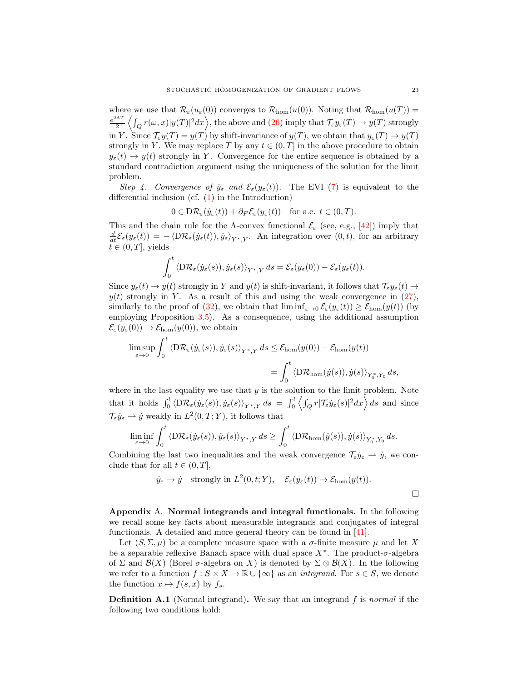where we use that  $\mathcal{R}_{\varepsilon}(u_{\varepsilon}(0))$  converges to  $\mathcal{R}_{\text{hom}}(u(0))$ . Noting that  $\mathcal{R}_{\text{hom}}(u(T))$  $e^{2\Lambda T}$  $\frac{d\Delta T}{d^2}\left\langle \int_Q r(\omega,x) |y(T)|^2 dx \right\rangle$ , the above and  $(26)$  imply that  $\mathcal{T}_\varepsilon y_\varepsilon(T) \to y(T)$  strongly in Y. Since  $\mathcal{T}_{\varepsilon}y(T) = y(T)$  by shift-invariance of  $y(T)$ , we obtain that  $y_{\varepsilon}(T) \to y(T)$ strongly in Y. We may replace T by any  $t \in (0, T]$  in the above procedure to obtain  $y_{\varepsilon}(t) \to y(t)$  strongly in Y. Convergence for the entire sequence is obtained by a standard contradiction argument using the uniqueness of the solution for the limit problem.

Step 4. Convergence of  $\dot{y}_{\varepsilon}$  and  $\mathcal{E}_{\varepsilon}(y_{\varepsilon}(t))$ . The EVI [\(7\)](#page-6-1) is equivalent to the differential inclusion (cf. [\(1\)](#page-1-0) in the Introduction)

$$
0 \in D\mathcal{R}_{\varepsilon}(\dot{y}_{\varepsilon}(t)) + \partial_F \mathcal{E}_{\varepsilon}(y_{\varepsilon}(t)) \quad \text{for a.e. } t \in (0, T).
$$

This and the chain rule for the Λ-convex functional  $\mathcal{E}_{\varepsilon}$  (see, e.g., [\[42\]](#page-25-22)) imply that  $\frac{d}{dt}\mathcal{E}_{\varepsilon}(y_{\varepsilon}(t)) = -\langle \mathrm{D}\mathcal{R}_{\varepsilon}(\dot{y}_{\varepsilon}(t)), \dot{y}_{\varepsilon} \rangle_{Y^*,Y}$ . An integration over  $(0, t)$ , for an arbitrary  $t \in (0, T]$ , yields

$$
\int_0^t \left\langle \mathrm{D} \mathcal{R}_{\varepsilon}(\dot{y}_{\varepsilon}(s)), \dot{y}_{\varepsilon}(s) \right\rangle_{Y^*,Y} ds = \mathcal{E}_{\varepsilon}(y_{\varepsilon}(0)) - \mathcal{E}_{\varepsilon}(y_{\varepsilon}(t)).
$$

Since  $y_{\varepsilon}(t) \to y(t)$  strongly in Y and  $y(t)$  is shift-invariant, it follows that  $\mathcal{T}_{\varepsilon} y_{\varepsilon}(t) \to$  $y(t)$  strongly in Y. As a result of this and using the weak convergence in  $(27)$ , similarly to the proof of [\(32\)](#page-20-3), we obtain that  $\liminf_{\varepsilon\to 0} \mathcal{E}_{\varepsilon}(y_{\varepsilon}(t)) \geq \mathcal{E}_{\text{hom}}(y(t))$  (by employing Proposition [3.5\)](#page-9-1). As a consequence, using the additional assumption  $\mathcal{E}_{\varepsilon}(y_{\varepsilon}(0)) \to \mathcal{E}_{\text{hom}}(y(0)),$  we obtain

$$
\limsup_{\varepsilon \to 0} \int_0^t \left\langle \mathcal{D}\mathcal{R}_{\varepsilon}(\dot{y}_{\varepsilon}(s)), \dot{y}_{\varepsilon}(s) \right\rangle_{Y^*,Y} ds \leq \mathcal{E}_{\text{hom}}(y(0)) - \mathcal{E}_{\text{hom}}(y(t))
$$
\n
$$
= \int_0^t \left\langle \mathcal{D}\mathcal{R}_{\text{hom}}(\dot{y}(s)), \dot{y}(s) \right\rangle_{Y_0^*,Y_0} ds,
$$

where in the last equality we use that  $y$  is the solution to the limit problem. Note that it holds  $\int_0^t \langle D\mathcal{R}_{\varepsilon}(\dot{y}_{\varepsilon}(s)), \dot{y}_{\varepsilon}(s) \rangle_{Y^*,Y} ds = \int_0^t \left\langle \int_Q r |\mathcal{T}_{\varepsilon} \dot{y}_{\varepsilon}(s)|^2 dx \right\rangle ds$  and since  $\mathcal{T}_{\varepsilon}\dot{y}_{\varepsilon} \rightharpoonup \dot{y}$  weakly in  $L^2(0,T;Y)$ , it follows that

$$
\liminf_{\varepsilon\to 0}\int_0^t\left\langle \mathrm{D} \mathcal{R}_\varepsilon(y_\varepsilon(s)), \dot{y}_\varepsilon(s)\right\rangle_{Y^*,Y}ds\geq \int_0^t\left\langle \mathrm{D} \mathcal{R}_{\rm hom}(\dot{y}(s)), \dot{y}(s)\right\rangle_{Y_0^*,Y_0}ds.
$$

Combining the last two inequalities and the weak convergence  $\mathcal{T}_{\varepsilon}\dot{y}_{\varepsilon} \rightharpoonup \dot{y}$ , we conclude that for all  $t \in (0, T]$ ,

$$
\dot{y}_{\varepsilon} \to \dot{y}
$$
 strongly in  $L^2(0, t; Y)$ ,  $\mathcal{E}_{\varepsilon}(y_{\varepsilon}(t)) \to \mathcal{E}_{\text{hom}}(y(t))$ .

<span id="page-22-0"></span>Appendix A. Normal integrands and integral functionals. In the following we recall some key facts about measurable integrands and conjugates of integral functionals. A detailed and more general theory can be found in [\[41\]](#page-25-23).

Let  $(S, \Sigma, \mu)$  be a complete measure space with a  $\sigma$ -finite measure  $\mu$  and let X be a separable reflexive Banach space with dual space  $X^*$ . The product- $\sigma$ -algebra of  $\Sigma$  and  $\mathcal{B}(X)$  (Borel  $\sigma$ -algebra on X) is denoted by  $\Sigma \otimes \mathcal{B}(X)$ . In the following we refer to a function  $f : S \times X \to \mathbb{R} \cup \{\infty\}$  as an *integrand*. For  $s \in S$ , we denote the function  $x \mapsto f(s, x)$  by  $f_s$ .

<span id="page-22-1"></span>**Definition A.1** (Normal integrand). We say that an integrand f is normal if the following two conditions hold: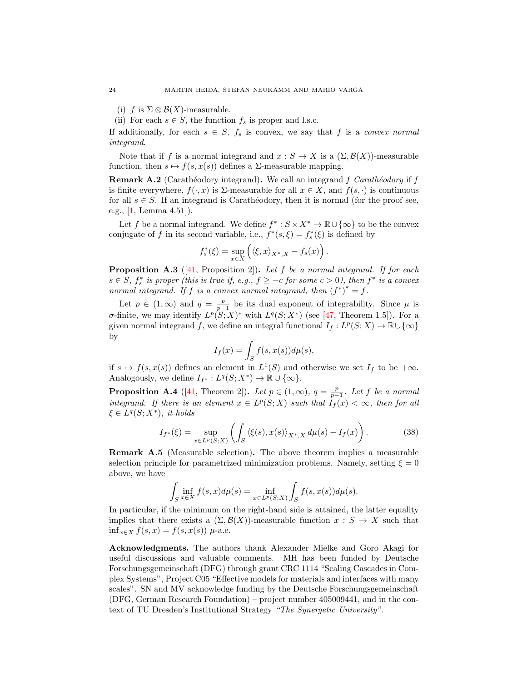- (i) f is  $\Sigma \otimes \mathcal{B}(X)$ -measurable.
- (ii) For each  $s \in S$ , the function  $f_s$  is proper and l.s.c.

If additionally, for each  $s \in S$ ,  $f_s$  is convex, we say that f is a convex normal integrand.

Note that if f is a normal integrand and  $x : S \to X$  is a  $(\Sigma, \mathcal{B}(X))$ -measurable function, then  $s \mapsto f(s, x(s))$  defines a  $\Sigma$ -measurable mapping.

<span id="page-23-1"></span>**Remark A.2** (Carathéodory integrand). We call an integrand f Carathéodory if f is finite everywhere,  $f(\cdot, x)$  is  $\Sigma$ -measurable for all  $x \in X$ , and  $f(s, \cdot)$  is continuous for all  $s \in S$ . If an integrand is Carathéodory, then it is normal (for the proof see, e.g., [\[1,](#page-24-27) Lemma 4.51]).

Let f be a normal integrand. We define  $f^* : S \times X^* \to \mathbb{R} \cup {\infty}$  to be the convex conjugate of f in its second variable, i.e.,  $f^*(s, \xi) = f_s^*(\xi)$  is defined by

$$
f_s^*(\xi) = \sup_{x \in X} \left( \langle \xi, x \rangle_{X^*, X} - f_s(x) \right).
$$

**Proposition A.3** ([\[41,](#page-25-23) Proposition 2]). Let f be a normal integrand. If for each  $s \in S$ ,  $f_s^*$  is proper (this is true if, e.g.,  $f \ge -c$  for some  $c > 0$ ), then  $f^*$  is a convex normal integrand. If f is a convex normal integrand, then  $(f^*)^* = f$ .

Let  $p \in (1,\infty)$  and  $q = \frac{p}{p-1}$  be its dual exponent of integrability. Since  $\mu$  is σ-finite, we may identify  $L^p(S;X)^*$  with  $L^q(S;X^*)$  (see [\[47,](#page-25-24) Theorem 1.5]). For a given normal integrand f, we define an integral functional  $I_f: L^p(S;X) \to \mathbb{R} \cup {\infty}$ by

$$
I_f(x) = \int_S f(s, x(s)) d\mu(s),
$$

if  $s \mapsto f(s, x(s))$  defines an element in  $L^1(S)$  and otherwise we set  $I_f$  to be  $+\infty$ . Analogously, we define  $I_{f^*}: L^q(S;X^*) \to \mathbb{R} \cup {\infty}.$ 

<span id="page-23-2"></span>**Proposition A.4** ([\[41,](#page-25-23) Theorem 2]). Let  $p \in (1,\infty)$ ,  $q = \frac{p}{p-1}$ . Let f be a normal integrand. If there is an element  $x \in L^p(S;X)$  such that  $\tilde{I}_f(x) < \infty$ , then for all  $\xi \in L^q(S;X^*)$ , it holds

$$
I_{f^*}(\xi) = \sup_{x \in L^p(S;X)} \left( \int_S \left\langle \xi(s), x(s) \right\rangle_{X^*,X} d\mu(s) - I_f(x) \right). \tag{38}
$$

<span id="page-23-0"></span>Remark A.5 (Measurable selection). The above theorem implies a measurable selection principle for parametrized minimization problems. Namely, setting  $\xi = 0$ above, we have

$$
\int_{S} \inf_{x \in X} f(s, x) d\mu(s) = \inf_{x \in L^{p}(S;X)} \int_{S} f(s, x(s)) d\mu(s).
$$

In particular, if the minimum on the right-hand side is attained, the latter equality implies that there exists a  $(\Sigma, \mathcal{B}(X))$ -measurable function  $x : S \to X$  such that  $\inf_{x \in X} f(s, x) = f(s, x(s))$  µ-a.e.

Acknowledgments. The authors thank Alexander Mielke and Goro Akagi for useful discussions and valuable comments. MH has been funded by Deutsche Forschungsgemeinschaft (DFG) through grant CRC 1114 "Scaling Cascades in Complex Systems", Project C05 "Effective models for materials and interfaces with many scales". SN and MV acknowledge funding by the Deutsche Forschungsgemeinschaft (DFG, German Research Foundation) – project number 405009441, and in the context of TU Dresden's Institutional Strategy "The Synergetic University".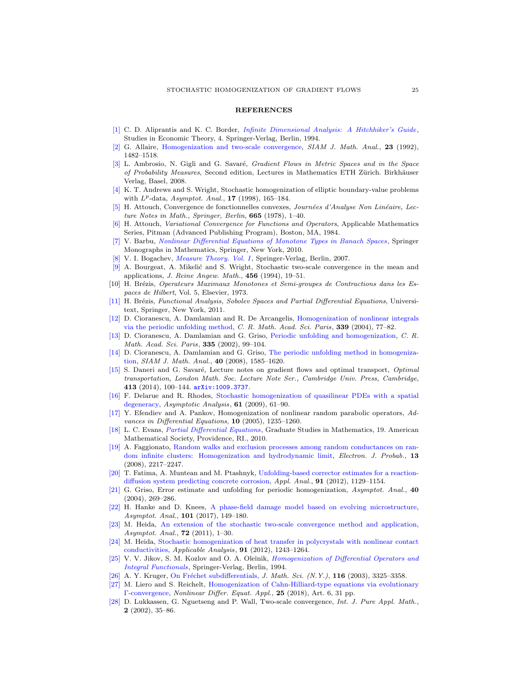## **REFERENCES**

- <span id="page-24-27"></span>[\[1\]](http://www.ams.org/mathscinet-getitem?mr=MR1321140&return=pdf) C. D. Aliprantis and K. C. Border, [Infinite Dimensional Analysis: A Hitchhiker's Guide](http://dx.doi.org/10.1007/978-3-662-03004-2), Studies in Economic Theory, 4. Springer-Verlag, Berlin, 1994.
- <span id="page-24-6"></span>[\[2\]](http://www.ams.org/mathscinet-getitem?mr=MR1185639&return=pdf) G. Allaire, [Homogenization and two-scale convergence,](http://dx.doi.org/10.1137/0523084) SIAM J. Math. Anal., 23 (1992), 1482–1518.
- <span id="page-24-2"></span>[\[3\]](http://www.ams.org/mathscinet-getitem?mr=MR2401600&return=pdf) L. Ambrosio, N. Gigli and G. Savaré, *Gradient Flows in Metric Spaces and in the Space* of Probability Measures, Second edition, Lectures in Mathematics ETH Zürich. Birkhäuser Verlag, Basel, 2008.
- <span id="page-24-15"></span>[\[4\]](http://www.ams.org/mathscinet-getitem?mr=MR1633112&return=pdf) K. T. Andrews and S. Wright, Stochastic homogenization of elliptic boundary-value problems with  $L^p$ -data, Asymptot. Anal., 17 (1998), 165-184.
- <span id="page-24-3"></span>[\[5\]](http://www.ams.org/mathscinet-getitem?mr=MR519420&return=pdf) H. Attouch, Convergence de fonctionnelles convexes, Journées d'Analyse Non Linéaire, Lecture Notes in Math., Springer, Berlin, 665 (1978), 1–40.
- <span id="page-24-4"></span>[\[6\]](http://www.ams.org/mathscinet-getitem?mr=MR773850&return=pdf) H. Attouch, Variational Convergence for Functions and Operators, Applicable Mathematics Series, Pitman (Advanced Publishing Program), Boston, MA, 1984.
- <span id="page-24-25"></span>V. Barbu, [Nonlinear Differential Equations of Monotone Types in Banach Spaces](http://dx.doi.org/10.1007/978-1-4419-5542-5), Springer Monographs in Mathematics, Springer, New York, 2010.
- <span id="page-24-26"></span>V. I. Bogachev, *[Measure Theory. Vol. I](http://dx.doi.org/10.1007/978-3-540-34514-5)*, Springer-Verlag, Berlin, 2007.
- <span id="page-24-14"></span>[\[9\]](http://www.ams.org/mathscinet-getitem?mr=MR1301450&return=pdf) A. Bourgeat, A. Mikelić and S. Wright, Stochastic two-scale convergence in the mean and applications, J. Reine Angew. Math., 456 (1994), 19–51.
- <span id="page-24-1"></span>[10] H. Brézis, Operateurs Maximaux Monotones et Semi-groupes de Contractions dans les Espaces de Hilbert, Vol. 5, Elsevier, 1973.
- <span id="page-24-24"></span>[\[11\]](http://www.ams.org/mathscinet-getitem?mr=MR2759829&return=pdf) H. Brézis, Functional Analysis, Sobolev Spaces and Partial Differential Equations, Universitext, Springer, New York, 2011.
- <span id="page-24-10"></span>[\[12\]](http://www.ams.org/mathscinet-getitem?mr=MR2075237&return=pdf) D. Cioranescu, A. Damlamian and R. De Arcangelis, [Homogenization of nonlinear integrals](http://dx.doi.org/10.1016/j.crma.2004.03.028) [via the periodic unfolding method,](http://dx.doi.org/10.1016/j.crma.2004.03.028) C. R. Math. Acad. Sci. Paris,  $339$  (2004),  $77-82$ .
- <span id="page-24-8"></span>[\[13\]](http://www.ams.org/mathscinet-getitem?mr=MR1921004&return=pdf) D. Cioranescu, A. Damlamian and G. Griso, [Periodic unfolding and homogenization,](http://dx.doi.org/10.1016/S1631-073X(02)02429-9) C. R. Math. Acad. Sci. Paris, 335 (2002), 99-104.
- <span id="page-24-9"></span>[\[14\]](http://www.ams.org/mathscinet-getitem?mr=MR2466168&return=pdf) D. Cioranescu, A. Damlamian and G. Griso, [The periodic unfolding method in homogeniza](http://dx.doi.org/10.1137/080713148)[tion,](http://dx.doi.org/10.1137/080713148) SIAM J. Math. Anal., 40 (2008), 1585–1620.
- <span id="page-24-5"></span>[\[15\]](http://www.ams.org/mathscinet-getitem?mr=MR3328994&return=pdf) S. Daneri and G. Savaré, Lecture notes on gradient flows and optimal transport, *Optimal* transportation, London Math. Soc. Lecture Note Ser., Cambridge Univ. Press, Cambridge, 413 (2014), 100–144. [arXiv:1009.3737](http://arxiv.org/pdf/1009.3737).
- <span id="page-24-19"></span>[\[16\]](http://www.ams.org/mathscinet-getitem?mr=MR2499193&return=pdf) F. Delarue and R. Rhodes, [Stochastic homogenization of quasilinear PDEs with a spatial](http://dx.doi.org/10.3233/ASY-2008-0925) [degeneracy,](http://dx.doi.org/10.3233/ASY-2008-0925) Asymptotic Analysis, 61 (2009), 61–90.
- <span id="page-24-21"></span>[\[17\]](http://www.ams.org/mathscinet-getitem?mr=MR2175335&return=pdf) Y. Efendiev and A. Pankov, Homogenization of nonlinear random parabolic operators, Advances in Differential Equations, 10 (2005), 1235–1260.
- <span id="page-24-23"></span>[\[18\]](http://www.ams.org/mathscinet-getitem?mr=MR2597943&return=pdf) L. C. Evans, [Partial Differential Equations](http://dx.doi.org/10.1090/gsm/019), Graduate Studies in Mathematics, 19. American Mathematical Society, Providence, RI., 2010.
- <span id="page-24-16"></span>[\[19\]](http://www.ams.org/mathscinet-getitem?mr=MR2469609&return=pdf) A. Faggionato, [Random walks and exclusion processes among random conductances on ran](http://dx.doi.org/10.1214/EJP.v13-591)[dom infinite clusters: Homogenization and hydrodynamic limit,](http://dx.doi.org/10.1214/EJP.v13-591) Electron. J. Probab., 13 (2008), 2217–2247.
- <span id="page-24-18"></span>[\[20\]](http://www.ams.org/mathscinet-getitem?mr=MR2926708&return=pdf) T. Fatima, A. Muntean and M. Ptashnyk, [Unfolding-based corrector estimates for a reaction](http://dx.doi.org/10.1080/00036811.2011.625016)[diffusion system predicting concrete corrosion,](http://dx.doi.org/10.1080/00036811.2011.625016) Appl. Anal., 91 (2012), 1129-1154.
- <span id="page-24-11"></span>[\[21\]](http://www.ams.org/mathscinet-getitem?mr=MR2107633&return=pdf) G. Griso, Error estimate and unfolding for periodic homogenization, Asymptot. Anal., 40 (2004), 269–286.
- <span id="page-24-13"></span>[\[22\]](http://www.ams.org/mathscinet-getitem?mr=MR3607094&return=pdf) H. Hanke and D. Knees, [A phase-field damage model based on evolving microstructure,](http://dx.doi.org/10.3233/ASY-161396) Asymptot. Anal., 101 (2017), 149–180.
- <span id="page-24-17"></span>[\[23\]](http://www.ams.org/mathscinet-getitem?mr=MR2919870&return=pdf) M. Heida, [An extension of the stochastic two-scale convergence method and application,](http://dx.doi.org/10.3233/ASY-2010-1022) Asymptot. Anal., **72** (2011), 1-30.
- <span id="page-24-20"></span>[\[24\]](http://www.ams.org/mathscinet-getitem?mr=MR2946064&return=pdf) M. Heida, [Stochastic homogenization of heat transfer in polycrystals with nonlinear contact](http://dx.doi.org/10.1080/00036811.2011.567191) [conductivities,](http://dx.doi.org/10.1080/00036811.2011.567191) Applicable Analysis, 91 (2012), 1243–1264.
- <span id="page-24-22"></span>V. V. Jikov, S. M. Kozlov and O. A. Oleinik, [Homogenization of Differential Operators and](http://dx.doi.org/10.1007/978-3-642-84659-5) [Integral Functionals](http://dx.doi.org/10.1007/978-3-642-84659-5), Springer-Verlag, Berlin, 1994.
- <span id="page-24-0"></span>[\[26\]](http://www.ams.org/mathscinet-getitem?mr=MR1995438&return=pdf) A. Y. Kruger, On Fréchet subdifferentials, J. Math. Sci. (N.Y.), 116 (2003), 3325-3358.
- <span id="page-24-12"></span>[\[27\]](http://www.ams.org/mathscinet-getitem?mr=MR3755697&return=pdf) M. Liero and S. Reichelt, [Homogenization of Cahn-Hilliard-type equations via evolutionary](http://dx.doi.org/10.1007/s00030-018-0495-9) [Γ-convergence,](http://dx.doi.org/10.1007/s00030-018-0495-9) Nonlinear Differ. Equat. Appl., 25 (2018), Art. 6, 31 pp.
- <span id="page-24-7"></span>[\[28\]](http://www.ams.org/mathscinet-getitem?mr=MR1912819&return=pdf) D. Lukkassen, G. Nguetseng and P. Wall, Two-scale convergence, Int. J. Pure Appl. Math., 2 (2002), 35–86.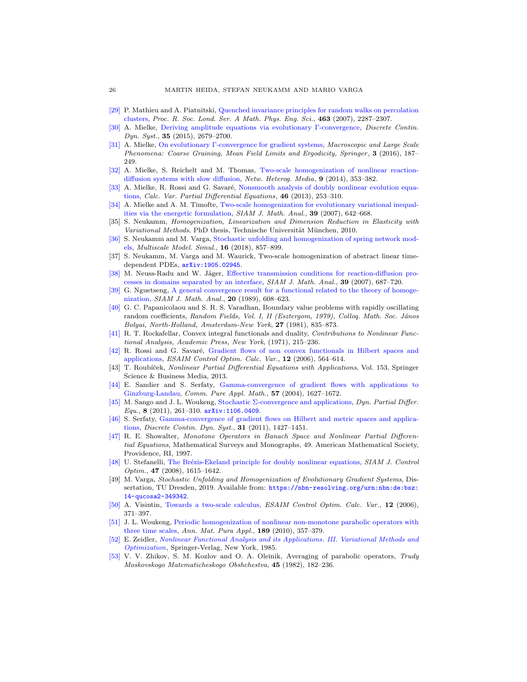- <span id="page-25-14"></span>[\[29\]](http://www.ams.org/mathscinet-getitem?mr=MR2345229&return=pdf) P. Mathieu and A. Piatnitski, [Quenched invariance principles for random walks on percolation](http://dx.doi.org/10.1098/rspa.2007.1876) [clusters,](http://dx.doi.org/10.1098/rspa.2007.1876) Proc. R. Soc. Lond. Ser. A Math. Phys. Eng. Sci., 463 (2007), 2287–2307.
- <span id="page-25-6"></span>[\[30\]](http://www.ams.org/mathscinet-getitem?mr=MR3299017&return=pdf) A. Mielke, [Deriving amplitude equations via evolutionary Γ-convergence,](http://dx.doi.org/10.3934/dcds.2015.35.2679) Discrete Contin. Dyn. Syst., 35 (2015), 2679-2700.
- <span id="page-25-2"></span>[\[31\]](http://www.ams.org/mathscinet-getitem?mr=MR3468299&return=pdf) A. Mielke, [On evolutionary Γ-convergence for gradient systems,](http://dx.doi.org/10.1007/978-3-319-26883-5_3) Macroscopic and Large Scale Phenomena: Coarse Graining, Mean Field Limits and Ergodicity, Springer, 3 (2016), 187– 249.
- <span id="page-25-12"></span>[\[32\]](http://www.ams.org/mathscinet-getitem?mr=MR3231196&return=pdf) A. Mielke, S. Reichelt and M. Thomas, [Two-scale homogenization of nonlinear reaction](http://dx.doi.org/10.3934/nhm.2014.9.353)[diffusion systems with slow diffusion,](http://dx.doi.org/10.3934/nhm.2014.9.353) Netw. Heterog. Media, 9 (2014), 353–382.
- <span id="page-25-5"></span>[\[33\]](http://www.ams.org/mathscinet-getitem?mr=MR3016509&return=pdf) A. Mielke, R. Rossi and G. Savaré, [Nonsmooth analysis of doubly nonlinear evolution equa](http://dx.doi.org/10.1007/s00526-011-0482-z)[tions,](http://dx.doi.org/10.1007/s00526-011-0482-z) Calc. Var. Partial Differential Equations, 46 (2013), 253–310.
- <span id="page-25-10"></span>[\[34\]](http://www.ams.org/mathscinet-getitem?mr=MR2338425&return=pdf) A. Mielke and A. M. Timofte, [Two-scale homogenization for evolutionary variational inequal](http://dx.doi.org/10.1137/060672790)[ities via the energetic formulation,](http://dx.doi.org/10.1137/060672790) SIAM J. Math. Anal., 39 (2007), 642–668.
- <span id="page-25-11"></span>[35] S. Neukamm, Homogenization, Linearization and Dimension Reduction in Elasticity with Variational Methods, PhD thesis, Technische Universität München, 2010.
- <span id="page-25-17"></span>[\[36\]](http://www.ams.org/mathscinet-getitem?mr=MR3802264&return=pdf) S. Neukamm and M. Varga, [Stochastic unfolding and homogenization of spring network mod](http://dx.doi.org/10.1137/17M1141230)[els,](http://dx.doi.org/10.1137/17M1141230) Multiscale Model. Simul., 16 (2018), 857–899.
- <span id="page-25-16"></span>[37] S. Neukamm, M. Varga and M. Waurick, Two-scale homogenization of abstract linear timedependent PDEs, [arXiv:1905.02945](http://arxiv.org/pdf/1905.02945).
- <span id="page-25-18"></span>[\[38\]](http://www.ams.org/mathscinet-getitem?mr=MR2349863&return=pdf) M. Neuss-Radu and W. Jäger, [Effective transmission conditions for reaction-diffusion pro](http://dx.doi.org/10.1137/060665452)[cesses in domains separated by an interface,](http://dx.doi.org/10.1137/060665452) SIAM J. Math. Anal., 39 (2007), 687–720.
- <span id="page-25-8"></span>[\[39\]](http://www.ams.org/mathscinet-getitem?mr=MR990867&return=pdf) G. Nguetseng, [A general convergence result for a functional related to the theory of homoge](http://dx.doi.org/10.1137/0520043)[nization,](http://dx.doi.org/10.1137/0520043) SIAM J. Math. Anal., 20 (1989), 608-623.
- <span id="page-25-21"></span>[\[40\]](http://www.ams.org/mathscinet-getitem?mr=MR712714&return=pdf) G. C. Papanicolaou and S. R. S. Varadhan, Boundary value problems with rapidly oscillating random coefficients, Random Fields, Vol. I, II (Esztergom, 1979), Collog. Math. Soc. János Bolyai, North-Holland, Amsterdam-New York, 27 (1981), 835–873.
- <span id="page-25-23"></span>[\[41\]](http://www.ams.org/mathscinet-getitem?mr=MR0390870&return=pdf) R. T. Rockafellar, Convex integral functionals and duality, Contributions to Nonlinear Functional Analysis, Academic Press, New York, (1971), 215–236.
- <span id="page-25-22"></span>[\[42\]](http://www.ams.org/mathscinet-getitem?mr=MR2224826&return=pdf) R. Rossi and G. Savaré, [Gradient flows of non convex functionals in Hilbert spaces and](http://dx.doi.org/10.1051/cocv:2006013) [applications,](http://dx.doi.org/10.1051/cocv:2006013) ESAIM Control Optim. Calc. Var., 12 (2006), 564–614.
- <span id="page-25-1"></span>T. Roubíček, Nonlinear Partial Differential Equations with Applications, Vol. 153, Springer Science & Business Media, 2013.
- <span id="page-25-3"></span>[\[44\]](http://www.ams.org/mathscinet-getitem?mr=MR2082242&return=pdf) E. Sandier and S. Serfaty, [Gamma-convergence of gradient flows with applications to](http://dx.doi.org/10.1002/cpa.20046) [Ginzburg-Landau,](http://dx.doi.org/10.1002/cpa.20046) Comm. Pure Appl. Math., 57 (2004), 1627–1672.
- <span id="page-25-13"></span>[\[45\]](http://www.ams.org/mathscinet-getitem?mr=MR2901606&return=pdf) M. Sango and J. L. Woukeng, [Stochastic Σ-convergence and applications,](http://dx.doi.org/10.4310/DPDE.2011.v8.n4.a1) Dyn. Partial Differ. Equ., 8 (2011), 261-310.  $arXiv:1106.0409$ .
- <span id="page-25-4"></span>[\[46\]](http://www.ams.org/mathscinet-getitem?mr=MR2836361&return=pdf) S. Serfaty, [Gamma-convergence of gradient flows on Hilbert and metric spaces and applica](http://dx.doi.org/10.3934/dcds.2011.31.1427)[tions,](http://dx.doi.org/10.3934/dcds.2011.31.1427) Discrete Contin. Dyn. Syst., 31 (2011), 1427–1451.
- <span id="page-25-24"></span>[\[47\]](http://www.ams.org/mathscinet-getitem?mr=MR1422252&return=pdf) R. E. Showalter, Monotone Operators in Banach Space and Nonlinear Partial Differential Equations, Mathematical Surveys and Monographs, 49. American Mathematical Society, Providence, RI, 1997.
- <span id="page-25-7"></span>[\[48\]](http://www.ams.org/mathscinet-getitem?mr=MR2425653&return=pdf) U. Stefanelli, The Brézis-Ekeland principle for doubly nonlinear equations, SIAM J. Control Optim., 47 (2008), 1615–1642.
- <span id="page-25-15"></span>[49] M. Varga, Stochastic Unfolding and Homogenization of Evolutionary Gradient Systems, Dissertation, TU Dresden, 2019. Available from: [https://nbn-resolving.org/urn:nbn:de:bsz:](https://nbn-resolving.org/urn:nbn:de:bsz:14-qucosa2-349342) [14-qucosa2-349342](https://nbn-resolving.org/urn:nbn:de:bsz:14-qucosa2-349342).
- <span id="page-25-9"></span>[\[50\]](http://www.ams.org/mathscinet-getitem?mr=MR2224819&return=pdf) A. Visintin, [Towards a two-scale calculus,](http://dx.doi.org/10.1051/cocv:2006012) ESAIM Control Optim. Calc. Var., 12 (2006), 371–397.
- <span id="page-25-19"></span>[\[51\]](http://www.ams.org/mathscinet-getitem?mr=MR2657414&return=pdf) J. L. Woukeng, [Periodic homogenization of nonlinear non-monotone parabolic operators with](http://dx.doi.org/10.1007/s10231-009-0112-y) [three time scales,](http://dx.doi.org/10.1007/s10231-009-0112-y) Ann. Mat. Pura Appl., 189 (2010), 357–379.
- <span id="page-25-0"></span>[\[52\]](http://www.ams.org/mathscinet-getitem?mr=MR768749&return=pdf) E. Zeidler, [Nonlinear Functional Analysis and its Applications. III. Variational Methods and](http://dx.doi.org/10.1007/978-1-4612-5020-3) [Optimization](http://dx.doi.org/10.1007/978-1-4612-5020-3), Springer-Verlag, New York, 1985.
- <span id="page-25-20"></span>[\[53\]](http://www.ams.org/mathscinet-getitem?mr=MR704631&return=pdf) V. V. Zhikov, S. M. Kozlov and O. A. Oleĭnik, Averaging of parabolic operators, Trudy Moskovskogo Matematicheskogo Obshchestva, 45 (1982), 182–236.